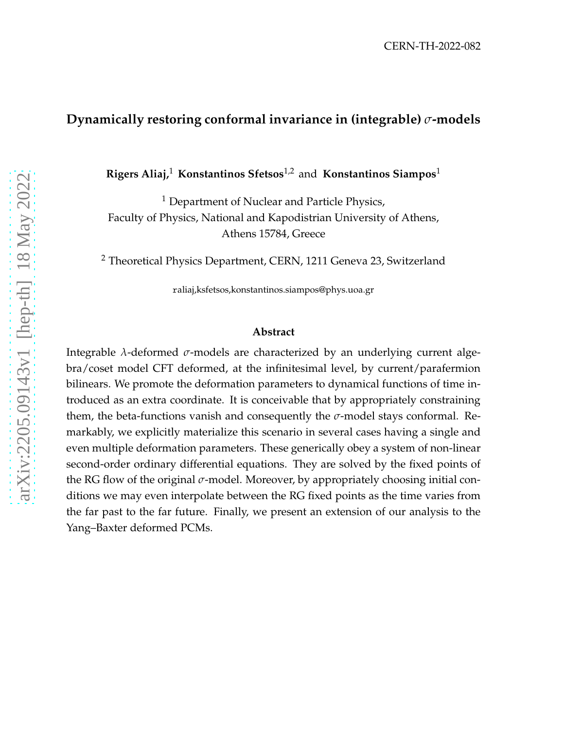### **Dynamically restoring conformal invariance in (integrable)** *σ***-models**

**Rigers Aliaj,**<sup>1</sup> **Konstantinos Sfetsos**1,2 and **Konstantinos Siampos**<sup>1</sup>

<sup>1</sup> Department of Nuclear and Particle Physics, Faculty of Physics, National and Kapodistrian University of Athens, Athens 15784, Greece

<sup>2</sup> Theoretical Physics Department, CERN, 1211 Geneva 23, Switzerland

raliaj,ksfetsos,konstantinos.siampos@phys.uoa.gr

#### **Abstract**

Integrable *λ*-deformed *σ*-models are characterized by an underlying current algebra/coset model CFT deformed, at the infinitesimal level, by current/parafermion bilinears. We promote the deformation parameters to dynamical functions of time introduced as an extra coordinate. It is conceivable that by appropriately constraining them, the beta-functions vanish and consequently the *σ*-model stays conformal. Remarkably, we explicitly materialize this scenario in several cases having a single and even multiple deformation parameters. These generically obey a system of non-linear second-order ordinary differential equations. They are solved by the fixed points of the RG flow of the original *σ*-model. Moreover, by appropriately choosing initial conditions we may even interpolate between the RG fixed points as the time varies from the far past to the far future. Finally, we present an extension of our analysis to the Yang–Baxter deformed PCMs.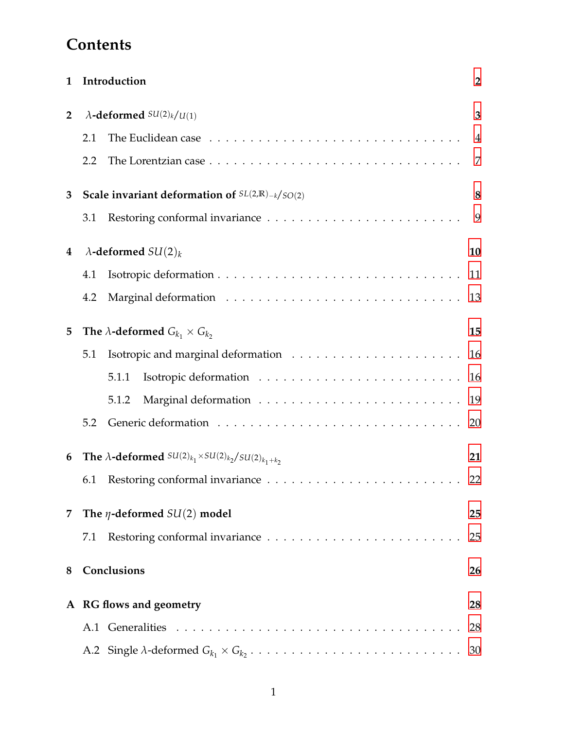# **Contents**

| 1                       |                                                                          | Introduction                                                                                 | $\overline{2}$ |
|-------------------------|--------------------------------------------------------------------------|----------------------------------------------------------------------------------------------|----------------|
| $\overline{2}$          | $\lambda$ -deformed $SU(2)_k/U(1)$                                       |                                                                                              | 3              |
|                         | 2.1                                                                      |                                                                                              | $\overline{4}$ |
|                         | 2.2                                                                      |                                                                                              | $\overline{7}$ |
| 3                       | Scale invariant deformation of $SL(2,\mathbb{R})_{-k}/SO(2)$             |                                                                                              | 8              |
|                         | 3.1                                                                      | Restoring conformal invariance $\dots \dots \dots \dots \dots \dots \dots \dots \dots$       | 9              |
| 4                       | $\lambda$ -deformed $SU(2)_k$                                            |                                                                                              | 10             |
|                         | 4.1                                                                      |                                                                                              | 11             |
|                         | 4.2                                                                      |                                                                                              | 13             |
| 5                       | The $\lambda$ -deformed $G_{k_1} \times G_{k_2}$                         |                                                                                              | 15             |
|                         | 5.1                                                                      |                                                                                              | 16             |
|                         |                                                                          | 5.1.1                                                                                        | 16             |
|                         |                                                                          | 5.1.2                                                                                        | 19             |
|                         | 5.2                                                                      |                                                                                              | 20             |
| 6                       | The $\lambda$ -deformed $SU(2)_{k_1} \times SU(2)_{k_2}/SU(2)_{k_1+k_2}$ |                                                                                              | 21             |
|                         | 6.1                                                                      | Restoring conformal invariance $\dots \dots \dots \dots \dots \dots \dots \dots \dots$       | 22             |
| 7                       | The $\eta$ -deformed $SU(2)$ model                                       |                                                                                              | 25             |
|                         | 7.1                                                                      | Restoring conformal invariance $\dots \dots \dots \dots \dots \dots \dots \dots \dots \dots$ | 25             |
| 8                       |                                                                          | Conclusions                                                                                  | 26             |
| A RG flows and geometry |                                                                          |                                                                                              | 28             |
|                         |                                                                          |                                                                                              | 28             |
|                         |                                                                          |                                                                                              | 30             |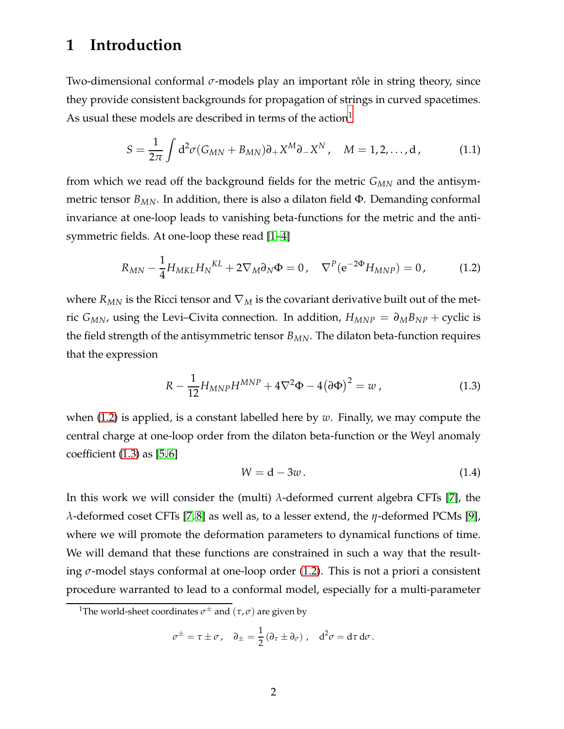## <span id="page-2-0"></span>**1 Introduction**

Two-dimensional conformal *σ*-models play an important rôle in string theory, since they provide consistent backgrounds for propagation of strings in curved spacetimes. As usual these models are described in terms of the action $<sup>1</sup>$  $<sup>1</sup>$  $<sup>1</sup>$ </sup>

<span id="page-2-5"></span>
$$
S = \frac{1}{2\pi} \int d^2\sigma (G_{MN} + B_{MN}) \partial_+ X^M \partial_- X^N, \quad M = 1, 2, ..., d,
$$
 (1.1)

from which we read off the background fields for the metric *GMN* and the antisymmetric tensor  $B_{MN}$ . In addition, there is also a dilaton field  $\Phi$ . Demanding conformal invariance at one-loop leads to vanishing beta-functions for the metric and the antisymmetric fields. At one-loop these read [\[1](#page-34-0)[–4\]](#page-34-1)

<span id="page-2-2"></span>
$$
R_{MN} - \frac{1}{4} H_{MKL} H_N^{KL} + 2 \nabla_M \partial_N \Phi = 0, \quad \nabla^P (e^{-2\Phi} H_{MNP}) = 0, \tag{1.2}
$$

where  $R_{MN}$  is the Ricci tensor and  $\nabla_M$  is the covariant derivative built out of the metric *G<sub>MN</sub>*, using the Levi–Civita connection. In addition,  $H_{MNP} = \partial_M B_{NP} +$  cyclic is the field strength of the antisymmetric tensor *BMN*. The dilaton beta-function requires that the expression

<span id="page-2-3"></span>
$$
R - \frac{1}{12} H_{MNP} H^{MNP} + 4\nabla^2 \Phi - 4(\partial \Phi)^2 = w \,, \tag{1.3}
$$

when [\(1.2\)](#page-2-2) is applied, is a constant labelled here by *w*. Finally, we may compute the central charge at one-loop order from the dilaton beta-function or the Weyl anomaly coefficient  $(1.3)$  as  $[5, 6]$  $[5, 6]$ 

<span id="page-2-4"></span>
$$
W = d - 3w. \tag{1.4}
$$

In this work we will consider the (multi) *λ*-deformed current algebra CFTs [\[7\]](#page-35-1), the *λ*-deformed coset CFTs [\[7,](#page-35-1) [8\]](#page-35-2) as well as, to a lesser extend, the *η*-deformed PCMs [\[9\]](#page-35-3), where we will promote the deformation parameters to dynamical functions of time. We will demand that these functions are constrained in such a way that the resulting *σ*-model stays conformal at one-loop order [\(1.2\)](#page-2-2). This is not a priori a consistent procedure warranted to lead to a conformal model, especially for a multi-parameter

$$
\sigma^{\pm} = \tau \pm \sigma, \quad \partial_{\pm} = \frac{1}{2} \left( \partial_{\tau} \pm \partial_{\sigma} \right), \quad d^2 \sigma = d\tau d\sigma.
$$

<span id="page-2-1"></span><sup>&</sup>lt;sup>1</sup>The world-sheet coordinates  $\sigma^\pm$  and  $(\tau,\sigma)$  are given by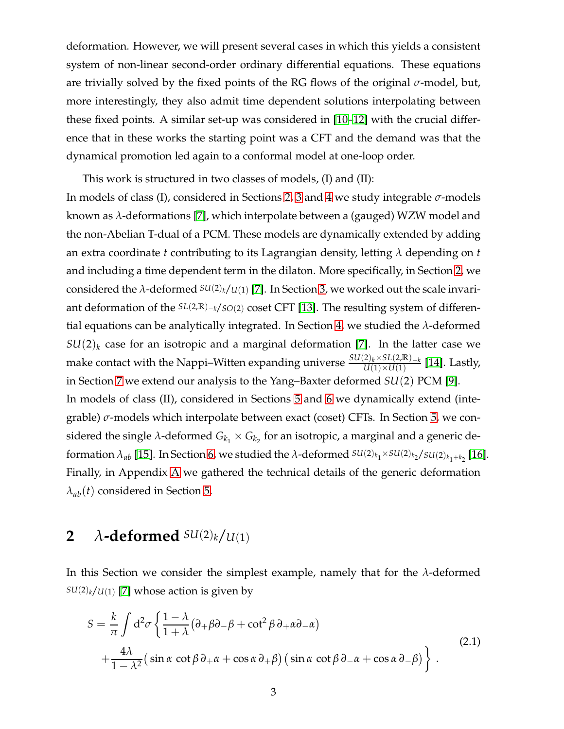deformation. However, we will present several cases in which this yields a consistent system of non-linear second-order ordinary differential equations. These equations are trivially solved by the fixed points of the RG flows of the original *σ*-model, but, more interestingly, they also admit time dependent solutions interpolating between these fixed points. A similar set-up was considered in [\[10–](#page-35-4)[12\]](#page-35-5) with the crucial difference that in these works the starting point was a CFT and the demand was that the dynamical promotion led again to a conformal model at one-loop order.

This work is structured in two classes of models, (I) and (II): In models of class (I), considered in Sections [2,](#page-3-0) [3](#page-8-0) and [4](#page-10-0) we study integrable *σ*-models known as *λ*-deformations [\[7\]](#page-35-1), which interpolate between a (gauged) WZW model and the non-Abelian T-dual of a PCM. These models are dynamically extended by adding an extra coordinate *t* contributing to its Lagrangian density, letting *λ* depending on *t* and including a time dependent term in the dilaton. More specifically, in Section [2,](#page-3-0) we considered the *λ*-deformed *SU*(2)*k*/*U*(1) [\[7\]](#page-35-1). In Section [3,](#page-8-0) we worked out the scale invariant deformation of the *SL*(2,**R**)−*<sup>k</sup>*/*SO*(2) coset CFT [\[13\]](#page-35-6). The resulting system of differential equations can be analytically integrated. In Section [4,](#page-10-0) we studied the *λ*-deformed  $SU(2)_k$  case for an isotropic and a marginal deformation [\[7\]](#page-35-1). In the latter case we make contact with the Nappi–Witten expanding universe *SU*(2)*k*×*SL*(2,**R**)−*<sup>k</sup> U*(1)×*U*(1) [\[14\]](#page-35-7). Lastly, in Section [7](#page-25-0) we extend our analysis to the Yang–Baxter deformed *SU*(2) PCM [\[9\]](#page-35-3). In models of class (II), considered in Sections [5](#page-15-0) and [6](#page-21-0) we dynamically extend (integrable) *σ*-models which interpolate between exact (coset) CFTs. In Section [5,](#page-15-0) we considered the single  $\lambda$ -deformed  $G_{k_1}\times G_{k_2}$  for an isotropic, a marginal and a generic deformation  $\lambda_{ab}$  [\[15\]](#page-35-8). In Section [6,](#page-21-0) we studied the  $\lambda$ -deformed  $^{SU(2)_{k_1}\times SU(2)_{k_2}/SU(2)_{k_1+k_2}}$  [\[16\]](#page-35-9). Finally, in Appendix [A](#page-28-0) we gathered the technical details of the generic deformation  $\lambda_{ab}(t)$  considered in Section [5.](#page-15-0)

## <span id="page-3-0"></span>**2**  $\lambda$ **-deformed**  $SU(2)_k$ / $U(1)$

In this Section we consider the simplest example, namely that for the *λ*-deformed  $SU(2)_k/U(1)$  [\[7\]](#page-35-1) whose action is given by

<span id="page-3-1"></span>
$$
S = \frac{k}{\pi} \int d^2 \sigma \left\{ \frac{1 - \lambda}{1 + \lambda} (\partial_+ \beta \partial_- \beta + \cot^2 \beta \partial_+ \alpha \partial_- \alpha) + \frac{4\lambda}{1 - \lambda^2} (\sin \alpha \cot \beta \partial_+ \alpha + \cos \alpha \partial_+ \beta) (\sin \alpha \cot \beta \partial_- \alpha + \cos \alpha \partial_- \beta) \right\}.
$$
 (2.1)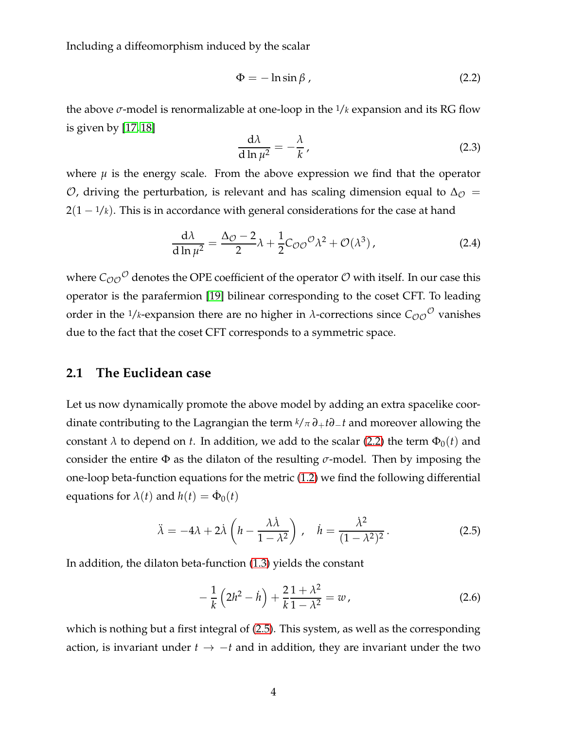Including a diffeomorphism induced by the scalar

<span id="page-4-1"></span>
$$
\Phi = -\ln \sin \beta \tag{2.2}
$$

the above *σ*-model is renormalizable at one-loop in the 1/*k* expansion and its RG flow is given by [\[17,](#page-35-10) [18\]](#page-35-11)

<span id="page-4-3"></span>
$$
\frac{\mathrm{d}\lambda}{\mathrm{d}\ln\mu^2} = -\frac{\lambda}{k},\tag{2.3}
$$

where  $\mu$  is the energy scale. From the above expression we find that the operator *O*, driving the perturbation, is relevant and has scaling dimension equal to  $Δ<sub>Q</sub>$  =  $2(1 - \frac{1}{k})$ . This is in accordance with general considerations for the case at hand

<span id="page-4-5"></span>
$$
\frac{d\lambda}{d\ln\mu^2} = \frac{\Delta_{\mathcal{O}} - 2}{2}\lambda + \frac{1}{2}C_{\mathcal{O}\mathcal{O}}{}^{\mathcal{O}}\lambda^2 + \mathcal{O}(\lambda^3) \,,\tag{2.4}
$$

where  $\mathcal{C}_\mathcal{O\mathcal{O}}^\mathcal{O}$  denotes the OPE coefficient of the operator  $\mathcal O$  with itself. In our case this operator is the parafermion [\[19\]](#page-35-12) bilinear corresponding to the coset CFT. To leading order in the  $1/k$ -expansion there are no higher in  $\lambda$ -corrections since  $C_{OO}$ <sup>O</sup> vanishes due to the fact that the coset CFT corresponds to a symmetric space.

### <span id="page-4-0"></span>**2.1 The Euclidean case**

Let us now dynamically promote the above model by adding an extra spacelike coordinate contributing to the Lagrangian the term *<sup>k</sup>*/*<sup>π</sup> ∂*+*t∂*−*t* and moreover allowing the constant  $\lambda$  to depend on *t*. In addition, we add to the scalar [\(2.2\)](#page-4-1) the term  $\Phi_0(t)$  and consider the entire Φ as the dilaton of the resulting *σ*-model. Then by imposing the one-loop beta-function equations for the metric [\(1.2\)](#page-2-2) we find the following differential equations for  $\lambda(t)$  and  $h(t) = \dot{\Phi}_0(t)$ 

<span id="page-4-2"></span>
$$
\ddot{\lambda} = -4\lambda + 2\dot{\lambda} \left( h - \frac{\lambda \dot{\lambda}}{1 - \lambda^2} \right), \quad \dot{h} = \frac{\dot{\lambda}^2}{(1 - \lambda^2)^2}.
$$
 (2.5)

In addition, the dilaton beta-function [\(1.3\)](#page-2-3) yields the constant

<span id="page-4-4"></span>
$$
-\frac{1}{k}\left(2h^2 - \dot{h}\right) + \frac{2}{k}\frac{1+\lambda^2}{1-\lambda^2} = w \,,\tag{2.6}
$$

which is nothing but a first integral of [\(2.5\)](#page-4-2). This system, as well as the corresponding action, is invariant under  $t \rightarrow -t$  and in addition, they are invariant under the two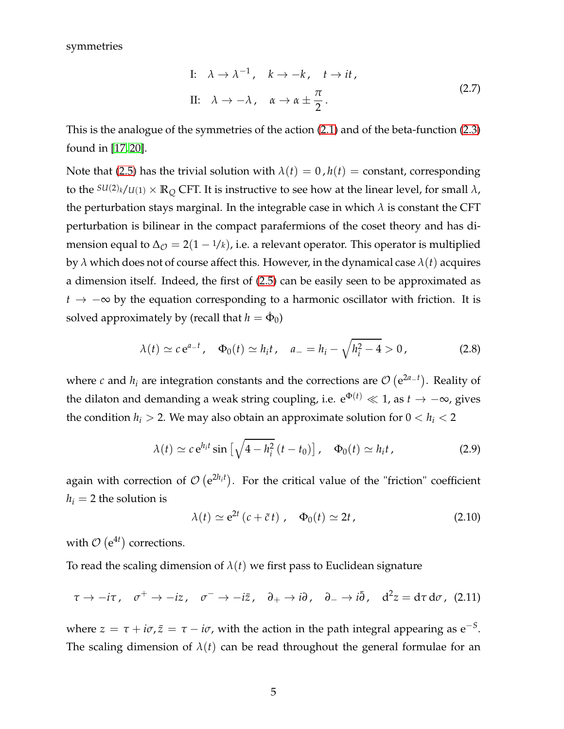symmetries

I: 
$$
\lambda \to \lambda^{-1}
$$
,  $k \to -k$ ,  $t \to it$ ,  
\nII:  $\lambda \to -\lambda$ ,  $\alpha \to \alpha \pm \frac{\pi}{2}$ . (2.7)

This is the analogue of the symmetries of the action [\(2.1\)](#page-3-1) and of the beta-function [\(2.3\)](#page-4-3) found in [\[17,](#page-35-10) [20\]](#page-36-0).

Note that [\(2.5\)](#page-4-2) has the trivial solution with  $\lambda(t) = 0$ ,  $h(t) =$  constant, corresponding to the  $SU(2)_k/U(1) \times \mathbb{R}_Q$  CFT. It is instructive to see how at the linear level, for small  $\lambda$ , the perturbation stays marginal. In the integrable case in which  $\lambda$  is constant the CFT perturbation is bilinear in the compact parafermions of the coset theory and has dimension equal to  $\Delta_{\mathcal{O}} = 2(1 - 1/k)$ , i.e. a relevant operator. This operator is multiplied by  $\lambda$  which does not of course affect this. However, in the dynamical case  $\lambda(t)$  acquires a dimension itself. Indeed, the first of [\(2.5\)](#page-4-2) can be easily seen to be approximated as *<sup>t</sup>* → −<sup>∞</sup> by the equation corresponding to a harmonic oscillator with friction. It is solved approximately by (recall that  $h = \dot{\Phi}_0$ )

<span id="page-5-0"></span>
$$
\lambda(t) \simeq c e^{a-t}, \quad \Phi_0(t) \simeq h_i t, \quad a_- = h_i - \sqrt{h_i^2 - 4} > 0, \tag{2.8}
$$

where *c* and  $h_i$  are integration constants and the corrections are  $\mathcal{O}(\mathrm{e}^{2a_-t})$ . Reality of the dilaton and demanding a weak string coupling, i.e.  $e^{\Phi(t)} \ll 1$ , as  $t \to -\infty$ , gives the condition  $h_i > 2$ . We may also obtain an approximate solution for  $0 < h_i < 2$ 

<span id="page-5-1"></span>
$$
\lambda(t) \simeq c e^{h_i t} \sin\left[\sqrt{4 - h_i^2} \left(t - t_0\right)\right], \quad \Phi_0(t) \simeq h_i t,\tag{2.9}
$$

again with correction of  $\mathcal{O}(\mathrm{e}^{2h_i t})$ . For the critical value of the "friction" coefficient  $h_i = 2$  the solution is

<span id="page-5-2"></span>
$$
\lambda(t) \simeq e^{2t} (c + \tilde{c} t) , \quad \Phi_0(t) \simeq 2t , \tag{2.10}
$$

with  $\mathcal{O}\left(\mathrm{e}^{4t}\right)$  corrections.

To read the scaling dimension of  $\lambda(t)$  we first pass to Euclidean signature

<span id="page-5-3"></span>
$$
\tau \to -i\tau \,, \quad \sigma^+ \to -i z \,, \quad \sigma^- \to -i\bar{z} \,, \quad \partial_+ \to i\partial \,, \quad \partial_- \to i\bar{\partial} \,, \quad d^2 z = d\tau \, d\sigma \,, \tag{2.11}
$$

where  $z = \tau + i\sigma$ ,  $\bar{z} = \tau - i\sigma$ , with the action in the path integral appearing as  $e^{-S}$ . The scaling dimension of  $\lambda(t)$  can be read throughout the general formulae for an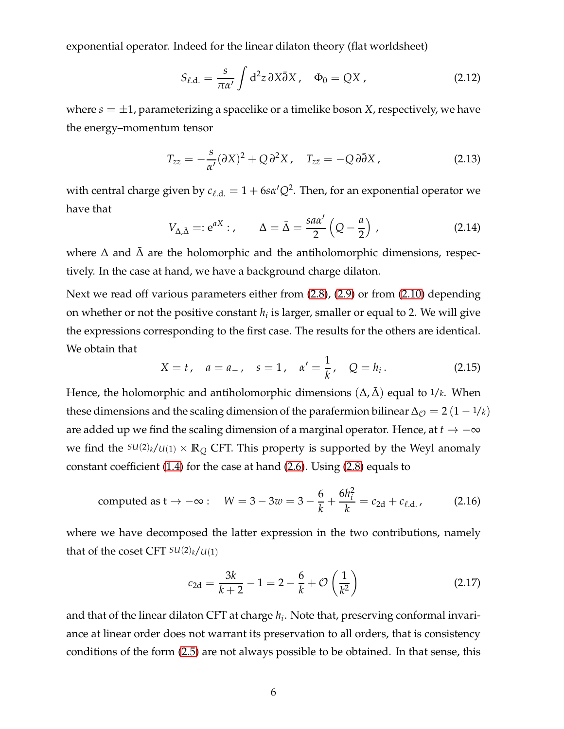exponential operator. Indeed for the linear dilaton theory (flat worldsheet)

<span id="page-6-1"></span>
$$
S_{\ell.d.} = \frac{s}{\pi \alpha'} \int d^2 z \, \partial X \bar{\partial} X \, , \quad \Phi_0 = QX \, , \tag{2.12}
$$

where  $s = \pm 1$ , parameterizing a spacelike or a timelike boson *X*, respectively, we have the energy–momentum tensor

$$
T_{zz} = -\frac{s}{\alpha'}(\partial X)^2 + Q \partial^2 X, \quad T_{z\bar{z}} = -Q \partial \bar{\partial} X, \tag{2.13}
$$

with central charge given by  $c_{\ell,d.} = 1 + 6s\alpha'Q^2$ . Then, for an exponential operator we have that

<span id="page-6-2"></span>
$$
V_{\Delta,\bar{\Delta}} =: e^{aX} : , \qquad \Delta = \bar{\Delta} = \frac{s a \alpha'}{2} \left( Q - \frac{a}{2} \right) , \tag{2.14}
$$

where  $\Delta$  and  $\Delta$  are the holomorphic and the antiholomorphic dimensions, respectively. In the case at hand, we have a background charge dilaton.

Next we read off various parameters either from [\(2.8\)](#page-5-0), [\(2.9\)](#page-5-1) or from [\(2.10\)](#page-5-2) depending on whether or not the positive constant  $h_i$  is larger, smaller or equal to 2. We will give the expressions corresponding to the first case. The results for the others are identical. We obtain that

$$
X = t
$$
,  $a = a_{-}$ ,  $s = 1$ ,  $\alpha' = \frac{1}{k}$ ,  $Q = h_i$ . (2.15)

Hence, the holomorphic and antiholomorphic dimensions  $(\Delta, \Delta)$  equal to 1/*k*. When these dimensions and the scaling dimension of the parafermion bilinear  $\Delta_{\mathcal{O}} = 2(1 - \frac{1}{k})$ are added up we find the scaling dimension of a marginal operator. Hence, at  $t \to -\infty$ we find the  $SU(2)_k/U(1) \times \mathbb{R}_Q$  CFT. This property is supported by the Weyl anomaly constant coefficient [\(1.4\)](#page-2-4) for the case at hand [\(2.6\)](#page-4-4). Using [\(2.8\)](#page-5-0) equals to

computed as 
$$
t \to -\infty
$$
:  $W = 3 - 3w = 3 - \frac{6}{k} + \frac{6h_i^2}{k} = c_{2d} + c_{\ell.d.}$ , (2.16)

where we have decomposed the latter expression in the two contributions, namely that of the coset CFT  $SU(2)_k/U(1)$ 

<span id="page-6-0"></span>
$$
c_{2d} = \frac{3k}{k+2} - 1 = 2 - \frac{6}{k} + \mathcal{O}\left(\frac{1}{k^2}\right)
$$
 (2.17)

and that of the linear dilaton CFT at charge *h<sup>i</sup>* . Note that, preserving conformal invariance at linear order does not warrant its preservation to all orders, that is consistency conditions of the form [\(2.5\)](#page-4-2) are not always possible to be obtained. In that sense, this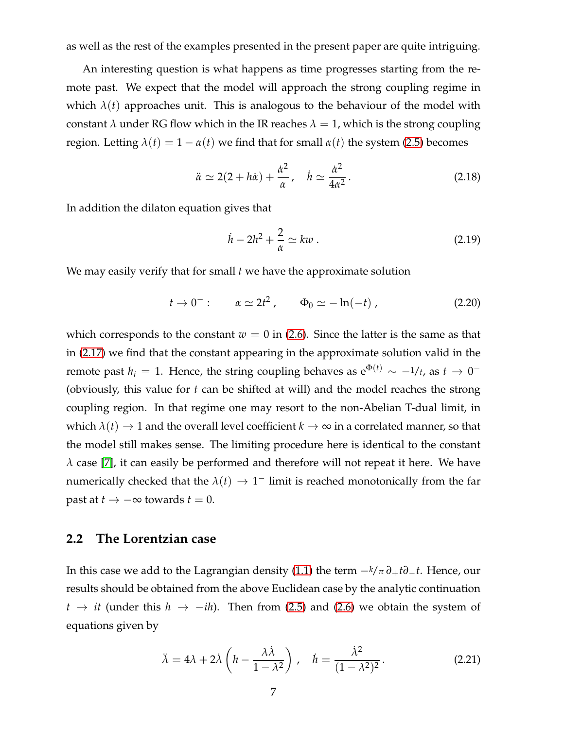as well as the rest of the examples presented in the present paper are quite intriguing.

An interesting question is what happens as time progresses starting from the remote past. We expect that the model will approach the strong coupling regime in which  $\lambda(t)$  approaches unit. This is analogous to the behaviour of the model with constant  $\lambda$  under RG flow which in the IR reaches  $\lambda = 1$ , which is the strong coupling region. Letting  $λ(t) = 1 - α(t)$  we find that for small  $α(t)$  the system [\(2.5\)](#page-4-2) becomes

$$
\ddot{\alpha} \simeq 2(2 + h\dot{\alpha}) + \frac{\dot{\alpha}^2}{\alpha}, \quad \dot{h} \simeq \frac{\dot{\alpha}^2}{4\alpha^2}.
$$
 (2.18)

In addition the dilaton equation gives that

$$
\dot{h} - 2h^2 + \frac{2}{\alpha} \simeq kw \,. \tag{2.19}
$$

We may easily verify that for small *t* we have the approximate solution

$$
t \to 0^-: \qquad \alpha \simeq 2t^2 \,, \qquad \Phi_0 \simeq -\ln(-t) \,, \tag{2.20}
$$

which corresponds to the constant  $w = 0$  in [\(2.6\)](#page-4-4). Since the latter is the same as that in [\(2.17\)](#page-6-0) we find that the constant appearing in the approximate solution valid in the remote past  $h_i = 1$ . Hence, the string coupling behaves as  $e^{\Phi(t)} \sim -1/t$ , as  $t \to 0^-$ (obviously, this value for *t* can be shifted at will) and the model reaches the strong coupling region. In that regime one may resort to the non-Abelian T-dual limit, in which  $\lambda(t) \rightarrow 1$  and the overall level coefficient  $k \rightarrow \infty$  in a correlated manner, so that the model still makes sense. The limiting procedure here is identical to the constant  $\lambda$  case [\[7\]](#page-35-1), it can easily be performed and therefore will not repeat it here. We have numerically checked that the  $\lambda(t) \to 1^-$  limit is reached monotonically from the far past at *t*  $\rightarrow$  −∞ towards *t* = 0.

#### <span id="page-7-0"></span>**2.2 The Lorentzian case**

In this case we add to the Lagrangian density [\(1.1\)](#page-2-5) the term −*k*/*<sup>π</sup> ∂*+*t∂*−*t*. Hence, our results should be obtained from the above Euclidean case by the analytic continuation *t*  $\rightarrow$  *it* (under this *h*  $\rightarrow$  −*ih*). Then from [\(2.5\)](#page-4-2) and [\(2.6\)](#page-4-4) we obtain the system of equations given by

<span id="page-7-1"></span>
$$
\ddot{\lambda} = 4\lambda + 2\dot{\lambda} \left( h - \frac{\lambda \dot{\lambda}}{1 - \lambda^2} \right), \quad \dot{h} = \frac{\dot{\lambda}^2}{(1 - \lambda^2)^2}.
$$
 (2.21)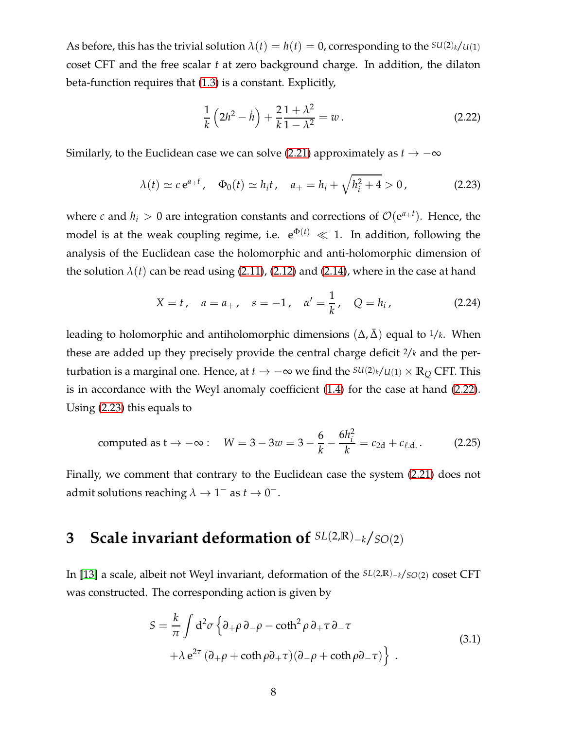As before, this has the trivial solution  $\lambda(t) = h(t) = 0$ , corresponding to the  $SU(2)_k/U(1)$ coset CFT and the free scalar *t* at zero background charge. In addition, the dilaton beta-function requires that [\(1.3\)](#page-2-3) is a constant. Explicitly,

<span id="page-8-1"></span>
$$
\frac{1}{k}\left(2h^2 - \dot{h}\right) + \frac{2}{k}\frac{1+\lambda^2}{1-\lambda^2} = w.
$$
\n(2.22)

Similarly, to the Euclidean case we can solve [\(2.21\)](#page-7-1) approximately as  $t \to -\infty$ 

<span id="page-8-2"></span>
$$
\lambda(t) \simeq c e^{a+t}, \quad \Phi_0(t) \simeq h_i t, \quad a_+ = h_i + \sqrt{h_i^2 + 4} > 0,
$$
 (2.23)

where *c* and  $h_i > 0$  are integration constants and corrections of  $\mathcal{O}(e^{a+t})$ . Hence, the model is at the weak coupling regime, i.e.  $e^{\Phi(t)} \ll 1$ . In addition, following the analysis of the Euclidean case the holomorphic and anti-holomorphic dimension of the solution  $\lambda(t)$  can be read using [\(2.11\)](#page-5-3), [\(2.12\)](#page-6-1) and [\(2.14\)](#page-6-2), where in the case at hand

$$
X = t
$$
,  $a = a_+$ ,  $s = -1$ ,  $\alpha' = \frac{1}{k}$ ,  $Q = h_i$ , (2.24)

leading to holomorphic and antiholomorphic dimensions  $(\Delta, \bar{\Delta})$  equal to  $1/k$ . When these are added up they precisely provide the central charge deficit 2/*k* and the perturbation is a marginal one. Hence, at *t* → −∞ we find the  $SU(2)_k/U(1) \times \mathbb{R}_Q$  CFT. This is in accordance with the Weyl anomaly coefficient [\(1.4\)](#page-2-4) for the case at hand [\(2.22\)](#page-8-1). Using [\(2.23\)](#page-8-2) this equals to

computed as 
$$
t \to -\infty
$$
:  $W = 3 - 3w = 3 - \frac{6}{k} - \frac{6h_i^2}{k} = c_{2d} + c_{\ell.d.}$ . (2.25)

Finally, we comment that contrary to the Euclidean case the system [\(2.21\)](#page-7-1) does not admit solutions reaching  $\lambda \to 1^-$  as  $t \to 0^-$ .

## <span id="page-8-0"></span>**3 Scale invariant deformation of** *SL*(2,**R**)−*<sup>k</sup>*/*SO*(2)

<span id="page-8-3"></span>In [\[13\]](#page-35-6) a scale, albeit not Weyl invariant, deformation of the *SL*(2,**R**)−*<sup>k</sup>*/*SO*(2) coset CFT was constructed. The corresponding action is given by

$$
S = \frac{k}{\pi} \int d^2 \sigma \left\{ \partial_+ \rho \partial_- \rho - \coth^2 \rho \partial_+ \tau \partial_- \tau \right. \\ + \lambda e^{2\tau} \left( \partial_+ \rho + \coth \rho \partial_+ \tau \right) \left( \partial_- \rho + \coth \rho \partial_- \tau \right) \right\} . \tag{3.1}
$$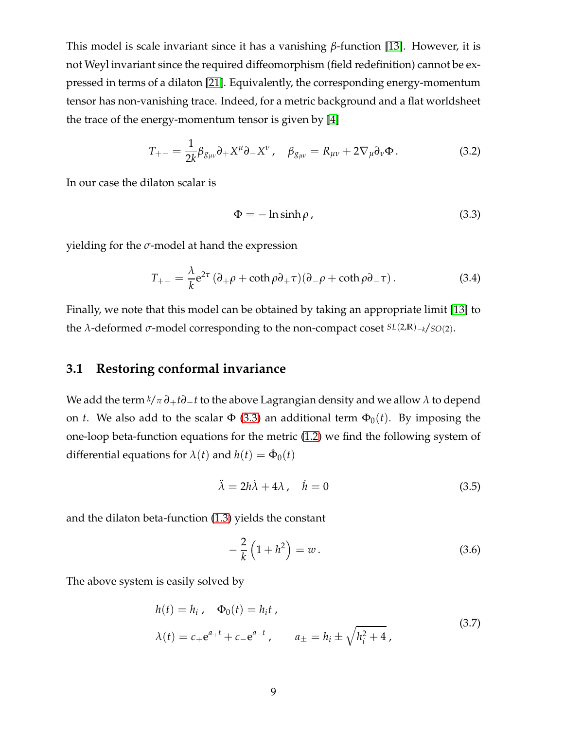This model is scale invariant since it has a vanishing *β*-function [\[13\]](#page-35-6). However, it is not Weyl invariant since the required diffeomorphism (field redefinition) cannot be expressed in terms of a dilaton [\[21\]](#page-36-1). Equivalently, the corresponding energy-momentum tensor has non-vanishing trace. Indeed, for a metric background and a flat worldsheet the trace of the energy-momentum tensor is given by [\[4\]](#page-34-1)

$$
T_{+-} = \frac{1}{2k} \beta_{g_{\mu\nu}} \partial_+ X^\mu \partial_- X^\nu \,, \quad \beta_{g_{\mu\nu}} = R_{\mu\nu} + 2 \nabla_\mu \partial_\nu \Phi \,. \tag{3.2}
$$

In our case the dilaton scalar is

<span id="page-9-1"></span>
$$
\Phi = -\ln \sinh \rho \tag{3.3}
$$

yielding for the *σ*-model at hand the expression

$$
T_{+-} = \frac{\lambda}{k} e^{2\tau} (\partial_+ \rho + \coth \rho \partial_+ \tau) (\partial_- \rho + \coth \rho \partial_- \tau).
$$
 (3.4)

Finally, we note that this model can be obtained by taking an appropriate limit [\[13\]](#page-35-6) to the *λ*-deformed *σ*-model corresponding to the non-compact coset *SL*(2,**R**)−*<sup>k</sup>*/*SO*(2).

### <span id="page-9-0"></span>**3.1 Restoring conformal invariance**

We add the term  $k/\pi \partial_+ t \partial_- t$  to the above Lagrangian density and we allow  $\lambda$  to depend on *t*. We also add to the scalar  $\Phi$  [\(3.3\)](#page-9-1) an additional term  $\Phi_0(t)$ . By imposing the one-loop beta-function equations for the metric [\(1.2\)](#page-2-2) we find the following system of differential equations for  $\lambda(t)$  and  $h(t) = \dot{\Phi}_0(t)$ 

$$
\ddot{\lambda} = 2h\dot{\lambda} + 4\lambda, \quad \dot{h} = 0 \tag{3.5}
$$

and the dilaton beta-function [\(1.3\)](#page-2-3) yields the constant

<span id="page-9-2"></span>
$$
-\frac{2}{k}\left(1+h^2\right) = w.\tag{3.6}
$$

The above system is easily solved by

$$
h(t) = h_i, \quad \Phi_0(t) = h_i t, \n\lambda(t) = c_+ e^{a_+ t} + c_- e^{a_- t}, \qquad a_\pm = h_i \pm \sqrt{h_i^2 + 4},
$$
\n(3.7)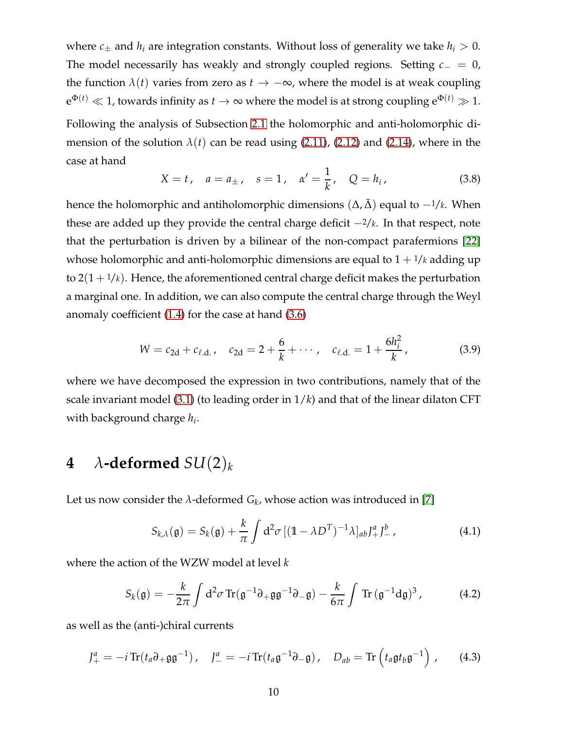where  $c_{\pm}$  and  $h_i$  are integration constants. Without loss of generality we take  $h_i > 0$ . The model necessarily has weakly and strongly coupled regions. Setting *c*<sup>−</sup> = 0, the function  $\lambda(t)$  varies from zero as  $t \to -\infty$ , where the model is at weak coupling  $e^{\Phi(t)} \ll 1$ , towards infinity as  $t\to\infty$  where the model is at strong coupling  $e^{\Phi(t)}\gg 1.$ Following the analysis of Subsection [2.1](#page-4-0) the holomorphic and anti-holomorphic dimension of the solution  $\lambda(t)$  can be read using [\(2.11\)](#page-5-3), [\(2.12\)](#page-6-1) and [\(2.14\)](#page-6-2), where in the case at hand

$$
X = t
$$
,  $a = a_{\pm}$ ,  $s = 1$ ,  $\alpha' = \frac{1}{k}$ ,  $Q = h_i$ , (3.8)

hence the holomorphic and antiholomorphic dimensions  $(\Delta, \overline{\Delta})$  equal to  $-1/k$ . When these are added up they provide the central charge deficit −2/*k*. In that respect, note that the perturbation is driven by a bilinear of the non-compact parafermions [\[22\]](#page-36-2) whose holomorphic and anti-holomorphic dimensions are equal to  $1 + \frac{1}{k}$  adding up to  $2(1 + \frac{1}{k})$ . Hence, the aforementioned central charge deficit makes the perturbation a marginal one. In addition, we can also compute the central charge through the Weyl anomaly coefficient [\(1.4\)](#page-2-4) for the case at hand [\(3.6\)](#page-9-2)

$$
W = c_{2d} + c_{\ell.d.}, \quad c_{2d} = 2 + \frac{6}{k} + \cdots, \quad c_{\ell.d.} = 1 + \frac{6h_i^2}{k}, \tag{3.9}
$$

where we have decomposed the expression in two contributions, namely that of the scale invariant model [\(3.1\)](#page-8-3) (to leading order in 1/*k*) and that of the linear dilaton CFT with background charge *h<sup>i</sup>* .

# <span id="page-10-0"></span>**4**  $\lambda$ -deformed  $SU(2)_k$

Let us now consider the  $\lambda$ -deformed  $G_k$ , whose action was introduced in [\[7\]](#page-35-1)

<span id="page-10-1"></span>
$$
S_{k,\lambda}(\mathfrak{g}) = S_k(\mathfrak{g}) + \frac{k}{\pi} \int d^2 \sigma \left[ (\mathbb{1} - \lambda D^T)^{-1} \lambda \right]_{ab} J_+^a J_-^b \,, \tag{4.1}
$$

where the action of the WZW model at level *k*

<span id="page-10-2"></span>
$$
S_k(\mathfrak{g}) = -\frac{k}{2\pi} \int d^2 \sigma \operatorname{Tr}(\mathfrak{g}^{-1} \partial_+ \mathfrak{g} \mathfrak{g}^{-1} \partial_- \mathfrak{g}) - \frac{k}{6\pi} \int \operatorname{Tr}(\mathfrak{g}^{-1} d\mathfrak{g})^3, \tag{4.2}
$$

as well as the (anti-)chiral currents

$$
J_{+}^{a} = -i \operatorname{Tr} (t_{a} \partial_{+} \mathfrak{g} \mathfrak{g}^{-1}), \quad J_{-}^{a} = -i \operatorname{Tr} (t_{a} \mathfrak{g}^{-1} \partial_{-} \mathfrak{g}), \quad D_{ab} = \operatorname{Tr} \left( t_{a} \mathfrak{g} t_{b} \mathfrak{g}^{-1} \right), \quad (4.3)
$$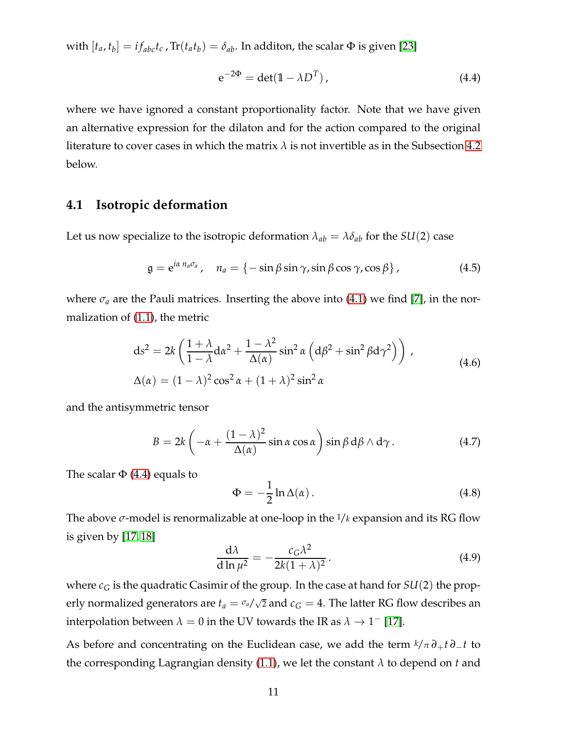with  $[t_a, t_b] = i f_{abc} t_c$ ,  $Tr(t_a t_b) = \delta_{ab}$ . In additon, the scalar  $\Phi$  is given [\[23\]](#page-36-3)

<span id="page-11-1"></span>
$$
e^{-2\Phi} = \det(\mathbb{1} - \lambda D^T), \qquad (4.4)
$$

where we have ignored a constant proportionality factor. Note that we have given an alternative expression for the dilaton and for the action compared to the original literature to cover cases in which the matrix  $\lambda$  is not invertible as in the Subsection [4.2](#page-13-0) below.

### <span id="page-11-0"></span>**4.1 Isotropic deformation**

Let us now specialize to the isotropic deformation  $\lambda_{ab} = \lambda \delta_{ab}$  for the  $SU(2)$  case

$$
\mathfrak{g} = e^{i\alpha n_a \sigma_a}, \quad n_a = \{-\sin\beta\sin\gamma, \sin\beta\cos\gamma, \cos\beta\}, \tag{4.5}
$$

where  $\sigma_a$  are the Pauli matrices. Inserting the above into [\(4.1\)](#page-10-1) we find [\[7\]](#page-35-1), in the normalization of [\(1.1\)](#page-2-5), the metric

$$
ds^{2} = 2k \left( \frac{1 + \lambda}{1 - \lambda} d\alpha^{2} + \frac{1 - \lambda^{2}}{\Delta(\alpha)} sin^{2} \alpha \left( d\beta^{2} + sin^{2} \beta d\gamma^{2} \right) \right),
$$
  
\n
$$
\Delta(\alpha) = (1 - \lambda)^{2} cos^{2} \alpha + (1 + \lambda)^{2} sin^{2} \alpha
$$
\n(4.6)

and the antisymmetric tensor

$$
B = 2k \left( -\alpha + \frac{(1-\lambda)^2}{\Delta(\alpha)} \sin \alpha \cos \alpha \right) \sin \beta d\beta \wedge d\gamma.
$$
 (4.7)

The scalar  $\Phi$  [\(4.4\)](#page-11-1) equals to

<span id="page-11-2"></span>
$$
\Phi = -\frac{1}{2} \ln \Delta(\alpha). \tag{4.8}
$$

The above  $\sigma$ -model is renormalizable at one-loop in the  $1/k$  expansion and its RG flow is given by [\[17,](#page-35-10) [18\]](#page-35-11)

$$
\frac{\mathrm{d}\lambda}{\mathrm{d}\ln\mu^2} = -\frac{c_G\lambda^2}{2k(1+\lambda)^2}.\tag{4.9}
$$

where  $c_G$  is the quadratic Casimir of the group. In the case at hand for  $SU(2)$  the properly normalized generators are  $t_a = \frac{\sigma_a}{\sqrt{2}}$  and  $c_G = 4$ . The latter RG flow describes an interpolation between  $\lambda = 0$  in the UV towards the IR as  $\lambda \to 1^-$  [\[17\]](#page-35-10).

As before and concentrating on the Euclidean case, we add the term  $k/\pi \partial_+ t \partial_- t$  to the corresponding Lagrangian density [\(1.1\)](#page-2-5), we let the constant *λ* to depend on *t* and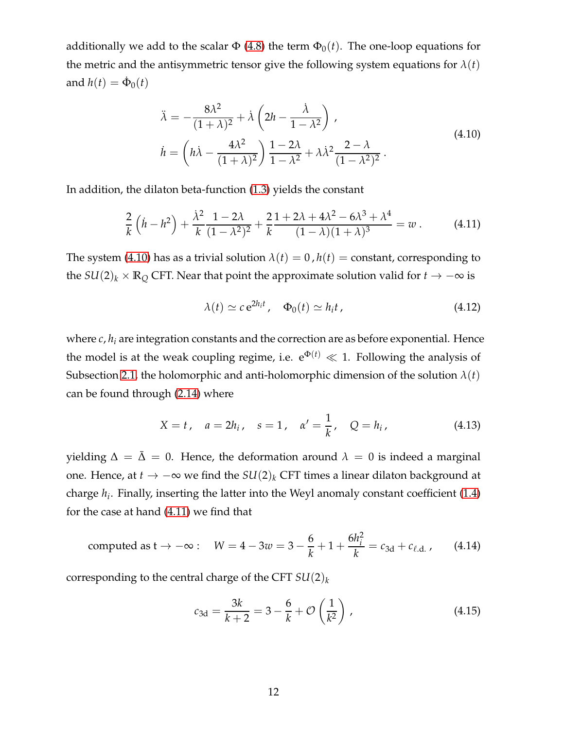additionally we add to the scalar  $\Phi$  [\(4.8\)](#page-11-2) the term  $\Phi_0(t)$ . The one-loop equations for the metric and the antisymmetric tensor give the following system equations for  $\lambda(t)$ and  $h(t) = \dot{\Phi}_0(t)$ 

$$
\ddot{\lambda} = -\frac{8\lambda^2}{(1+\lambda)^2} + \lambda \left(2h - \frac{\dot{\lambda}}{1-\lambda^2}\right),
$$
\n
$$
\dot{h} = \left(h\dot{\lambda} - \frac{4\lambda^2}{(1+\lambda)^2}\right)\frac{1-2\lambda}{1-\lambda^2} + \lambda\lambda^2\frac{2-\lambda}{(1-\lambda^2)^2}.
$$
\n(4.10)

<span id="page-12-0"></span>In addition, the dilaton beta-function [\(1.3\)](#page-2-3) yields the constant

<span id="page-12-1"></span>
$$
\frac{2}{k}\left(\dot{h}-h^{2}\right)+\frac{\dot{\lambda}^{2}}{k}\frac{1-2\lambda}{(1-\lambda^{2})^{2}}+\frac{2}{k}\frac{1+2\lambda+4\lambda^{2}-6\lambda^{3}+\lambda^{4}}{(1-\lambda)(1+\lambda)^{3}}=w.
$$
 (4.11)

The system [\(4.10\)](#page-12-0) has as a trivial solution  $\lambda(t) = 0$ ,  $h(t) =$  constant, corresponding to the  $SU(2)_k \times \mathbb{R}_Q$  CFT. Near that point the approximate solution valid for  $t \to -\infty$  is

$$
\lambda(t) \simeq c \,\mathrm{e}^{2h_i t} \,, \quad \Phi_0(t) \simeq h_i t \,, \tag{4.12}
$$

where  $c, h_i$  are integration constants and the correction are as before exponential. Hence the model is at the weak coupling regime, i.e.  $e^{\Phi(t)} \ll 1$ . Following the analysis of Subsection [2.1,](#page-4-0) the holomorphic and anti-holomorphic dimension of the solution  $\lambda(t)$ can be found through [\(2.14\)](#page-6-2) where

$$
X = t
$$
,  $a = 2h_i$ ,  $s = 1$ ,  $\alpha' = \frac{1}{k}$ ,  $Q = h_i$ , (4.13)

yielding  $\Delta = \bar{\Delta} = 0$ . Hence, the deformation around  $\lambda = 0$  is indeed a marginal one. Hence, at *<sup>t</sup>* → −<sup>∞</sup> we find the *SU*(2)*<sup>k</sup>* CFT times a linear dilaton background at charge *h<sup>i</sup>* . Finally, inserting the latter into the Weyl anomaly constant coefficient [\(1.4\)](#page-2-4) for the case at hand [\(4.11\)](#page-12-1) we find that

<span id="page-12-2"></span>computed as 
$$
t \to -\infty
$$
:  $W = 4 - 3w = 3 - \frac{6}{k} + 1 + \frac{6h_i^2}{k} = c_{3d} + c_{\ell.d.}$ , (4.14)

corresponding to the central charge of the CFT *SU*(2)*<sup>k</sup>*

$$
c_{3d} = \frac{3k}{k+2} = 3 - \frac{6}{k} + \mathcal{O}\left(\frac{1}{k^2}\right),\tag{4.15}
$$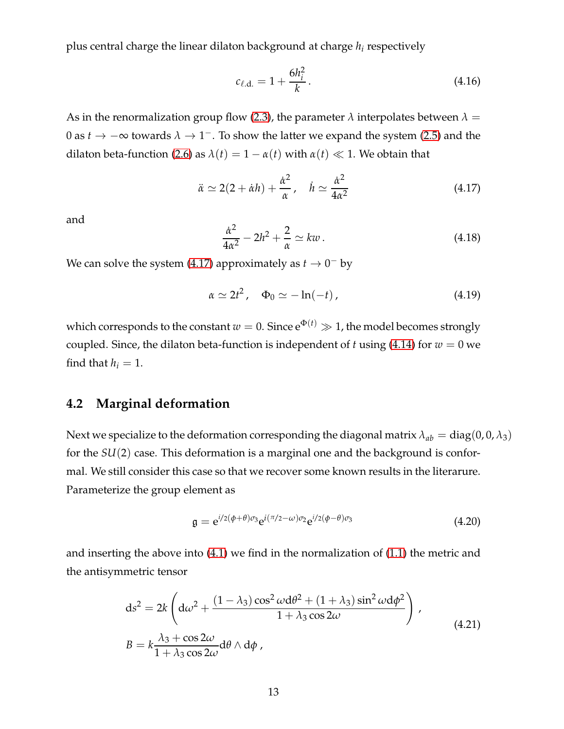plus central charge the linear dilaton background at charge *h<sup>i</sup>* respectively

$$
c_{\ell, \mathbf{d}} = 1 + \frac{6h_i^2}{k} \,. \tag{4.16}
$$

As in the renormalization group flow [\(2.3\)](#page-4-3), the parameter  $\lambda$  interpolates between  $\lambda =$ 0 as  $t \to -\infty$  towards  $\lambda \to 1^-$ . To show the latter we expand the system [\(2.5\)](#page-4-2) and the dilaton beta-function [\(2.6\)](#page-4-4) as  $\lambda(t) = 1 - \alpha(t)$  with  $\alpha(t) \ll 1$ . We obtain that

<span id="page-13-1"></span>
$$
\ddot{\alpha} \simeq 2(2 + \dot{\alpha}h) + \frac{\dot{\alpha}^2}{\alpha}, \quad \dot{h} \simeq \frac{\dot{\alpha}^2}{4\alpha^2}
$$
 (4.17)

and

$$
\frac{\dot{\alpha}^2}{4\alpha^2} - 2h^2 + \frac{2}{\alpha} \simeq kw \,. \tag{4.18}
$$

We can solve the system [\(4.17\)](#page-13-1) approximately as  $t \to 0^-$  by

$$
\alpha \simeq 2t^2, \quad \Phi_0 \simeq -\ln(-t) \,, \tag{4.19}
$$

which corresponds to the constant  $w = 0$ . Since  $e^{\Phi(t)} \gg 1$ , the model becomes strongly coupled. Since, the dilaton beta-function is independent of *t* using [\(4.14\)](#page-12-2) for  $w = 0$  we find that  $h_i = 1$ .

## <span id="page-13-0"></span>**4.2 Marginal deformation**

Next we specialize to the deformation corresponding the diagonal matrix  $\lambda_{ab} = \text{diag}(0, 0, \lambda_3)$ for the *SU*(2) case. This deformation is a marginal one and the background is conformal. We still consider this case so that we recover some known results in the literarure. Parameterize the group element as

$$
\mathfrak{g} = e^{i/2(\phi+\theta)\sigma_3} e^{i(\pi/2-\omega)\sigma_2} e^{i/2(\phi-\theta)\sigma_3} \tag{4.20}
$$

and inserting the above into [\(4.1\)](#page-10-1) we find in the normalization of [\(1.1\)](#page-2-5) the metric and the antisymmetric tensor

<span id="page-13-2"></span>
$$
ds^{2} = 2k \left( d\omega^{2} + \frac{(1 - \lambda_{3}) \cos^{2} \omega d\theta^{2} + (1 + \lambda_{3}) \sin^{2} \omega d\phi^{2}}{1 + \lambda_{3} \cos 2\omega} \right),
$$
  
\n
$$
B = k \frac{\lambda_{3} + \cos 2\omega}{1 + \lambda_{3} \cos 2\omega} d\theta \wedge d\phi,
$$
\n(4.21)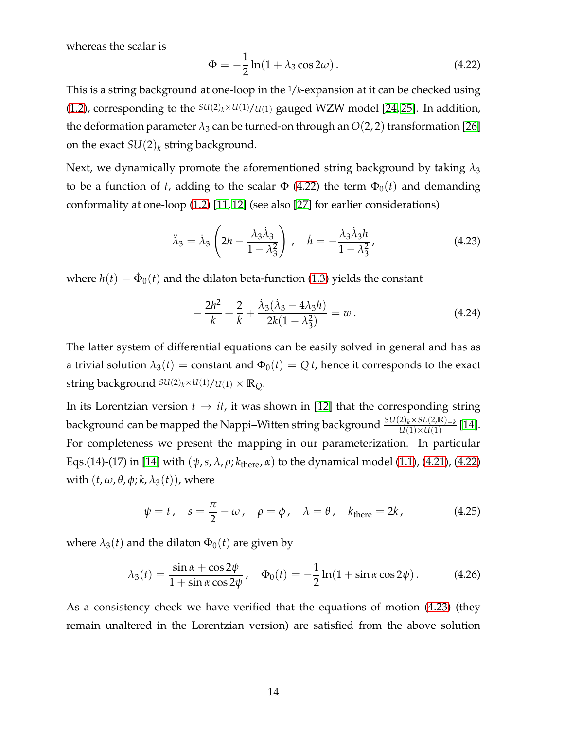whereas the scalar is

<span id="page-14-0"></span>
$$
\Phi = -\frac{1}{2}\ln(1 + \lambda_3 \cos 2\omega). \tag{4.22}
$$

This is a string background at one-loop in the 1/*k*-expansion at it can be checked using [\(1.2\)](#page-2-2), corresponding to the  $SU(2)_k \times U(1)/U(1)$  gauged WZW model [\[24,](#page-36-4) [25\]](#page-36-5). In addition, the deformation parameter  $\lambda_3$  can be turned-on through an  $O(2, 2)$  transformation [\[26\]](#page-36-6) on the exact  $SU(2)_k$  string background.

Next, we dynamically promote the aforementioned string background by taking  $\lambda_3$ to be a function of *t*, adding to the scalar  $\Phi$  [\(4.22\)](#page-14-0) the term  $\Phi_0(t)$  and demanding conformality at one-loop [\(1.2\)](#page-2-2) [\[11,](#page-35-13) [12\]](#page-35-5) (see also [\[27\]](#page-36-7) for earlier considerations)

$$
\ddot{\lambda}_3 = \dot{\lambda}_3 \left( 2h - \frac{\lambda_3 \dot{\lambda}_3}{1 - \lambda_3^2} \right), \quad \dot{h} = -\frac{\lambda_3 \dot{\lambda}_3 h}{1 - \lambda_3^2}, \tag{4.23}
$$

<span id="page-14-1"></span>where  $h(t) = \dot{\Phi}_0(t)$  and the dilaton beta-function [\(1.3\)](#page-2-3) yields the constant

<span id="page-14-2"></span>
$$
-\frac{2h^2}{k} + \frac{2}{k} + \frac{\dot{\lambda}_3(\dot{\lambda}_3 - 4\lambda_3 h)}{2k(1 - \lambda_3^2)} = w.
$$
 (4.24)

The latter system of differential equations can be easily solved in general and has as a trivial solution  $\lambda_3(t)$  = constant and  $\Phi_0(t) = Q t$ , hence it corresponds to the exact string background  $SU(2)_k \times U(1)/U(1) \times \mathbb{R}_0$ .

In its Lorentzian version  $t \to it$ , it was shown in [\[12\]](#page-35-5) that the corresponding string background can be mapped the Nappi–Witten string background *SU*(2)*k*×*SL*(2,**R**)−*<sup>k</sup>*  $\frac{\sum_{k} \sqrt{SL(2,\mathbf{K})} - k}{U(1) \times U(1)}$  [\[14\]](#page-35-7). For completeness we present the mapping in our parameterization. In particular Eqs.(14)-(17) in [\[14\]](#page-35-7) with  $(\psi, s, \lambda, \rho; k_{\text{there}}, \alpha)$  to the dynamical model [\(1.1\)](#page-2-5), [\(4.21\)](#page-13-2), [\(4.22\)](#page-14-0) with  $(t, \omega, \theta, \phi; k, \lambda_3(t))$ , where

$$
\psi = t, \quad s = \frac{\pi}{2} - \omega, \quad \rho = \phi, \quad \lambda = \theta, \quad k_{\text{there}} = 2k,
$$
\n(4.25)

where  $\lambda_3(t)$  and the dilaton  $\Phi_0(t)$  are given by

<span id="page-14-3"></span>
$$
\lambda_3(t) = \frac{\sin \alpha + \cos 2\psi}{1 + \sin \alpha \cos 2\psi}, \quad \Phi_0(t) = -\frac{1}{2}\ln(1 + \sin \alpha \cos 2\psi).
$$
 (4.26)

As a consistency check we have verified that the equations of motion [\(4.23\)](#page-14-1) (they remain unaltered in the Lorentzian version) are satisfied from the above solution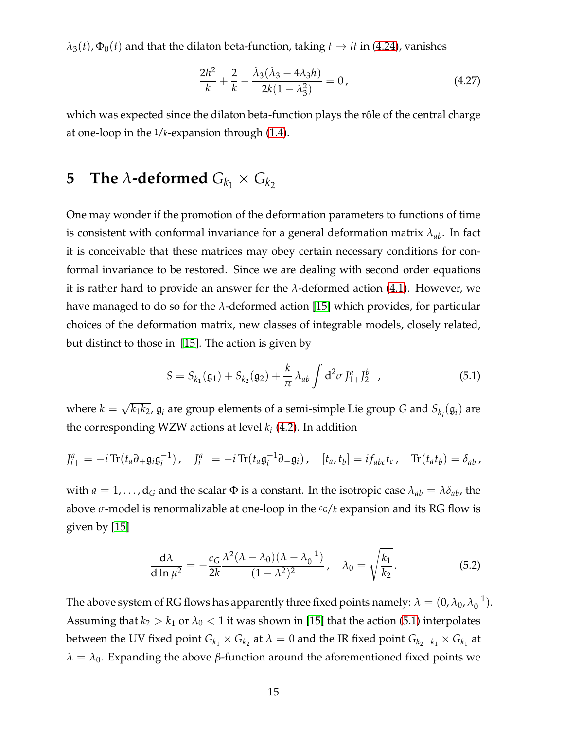$\lambda_3(t)$ ,  $\Phi_0(t)$  and that the dilaton beta-function, taking  $t \to it$  in [\(4.24\)](#page-14-2), vanishes

$$
\frac{2h^2}{k} + \frac{2}{k} - \frac{\dot{\lambda}_3(\dot{\lambda}_3 - 4\lambda_3 h)}{2k(1 - \lambda_3^2)} = 0, \qquad (4.27)
$$

which was expected since the dilaton beta-function plays the rôle of the central charge at one-loop in the 1/*k*-expansion through [\(1.4\)](#page-2-4).

# <span id="page-15-0"></span>**5** The  $\lambda$ -deformed  $G_{k_1} \times G_{k_2}$

One may wonder if the promotion of the deformation parameters to functions of time is consistent with conformal invariance for a general deformation matrix *λab*. In fact it is conceivable that these matrices may obey certain necessary conditions for conformal invariance to be restored. Since we are dealing with second order equations it is rather hard to provide an answer for the *λ*-deformed action [\(4.1\)](#page-10-1). However, we have managed to do so for the *λ*-deformed action [\[15\]](#page-35-8) which provides, for particular choices of the deformation matrix, new classes of integrable models, closely related, but distinct to those in [\[15\]](#page-35-8). The action is given by

<span id="page-15-1"></span>
$$
S = S_{k_1}(\mathfrak{g}_1) + S_{k_2}(\mathfrak{g}_2) + \frac{k}{\pi} \lambda_{ab} \int d^2 \sigma J_{1+}^a J_{2-}^b,
$$
 (5.1)

where  $k = \sqrt{k_1 k_2}$ ,  $\mathfrak{g}_i$  are group elements of a semi-simple Lie group *G* and  $S_{k_i}(\mathfrak{g}_i)$  are the corresponding WZW actions at level *k<sup>i</sup>* [\(4.2\)](#page-10-2). In addition

$$
J_{i+}^a = -i \operatorname{Tr} (t_a \partial_+ \mathfrak{g}_i \mathfrak{g}_i^{-1}), \quad J_{i-}^a = -i \operatorname{Tr} (t_a \mathfrak{g}_i^{-1} \partial_- \mathfrak{g}_i), \quad [t_a, t_b] = i f_{abc} t_c, \quad \operatorname{Tr} (t_a t_b) = \delta_{ab},
$$

with  $a = 1, \ldots, d_G$  and the scalar  $\Phi$  is a constant. In the isotropic case  $\lambda_{ab} = \lambda \delta_{ab}$ , the above *σ*-model is renormalizable at one-loop in the *cG*/*k* expansion and its RG flow is given by [\[15\]](#page-35-8)

$$
\frac{d\lambda}{d\ln\mu^2} = -\frac{c_G}{2k} \frac{\lambda^2 (\lambda - \lambda_0)(\lambda - \lambda_0^{-1})}{(1 - \lambda^2)^2}, \quad \lambda_0 = \sqrt{\frac{k_1}{k_2}}.
$$
 (5.2)

The above system of RG flows has apparently three fixed points namely:  $\lambda = (0, \lambda_0, \lambda_0^{-1}).$ Assuming that  $k_2 > k_1$  or  $\lambda_0 < 1$  it was shown in [\[15\]](#page-35-8) that the action [\(5.1\)](#page-15-1) interpolates between the UV fixed point  $G_{k_1} \times G_{k_2}$  at  $\lambda = 0$  and the IR fixed point  $G_{k_2-k_1} \times G_{k_1}$  at  $\lambda = \lambda_0$ . Expanding the above *β*-function around the aforementioned fixed points we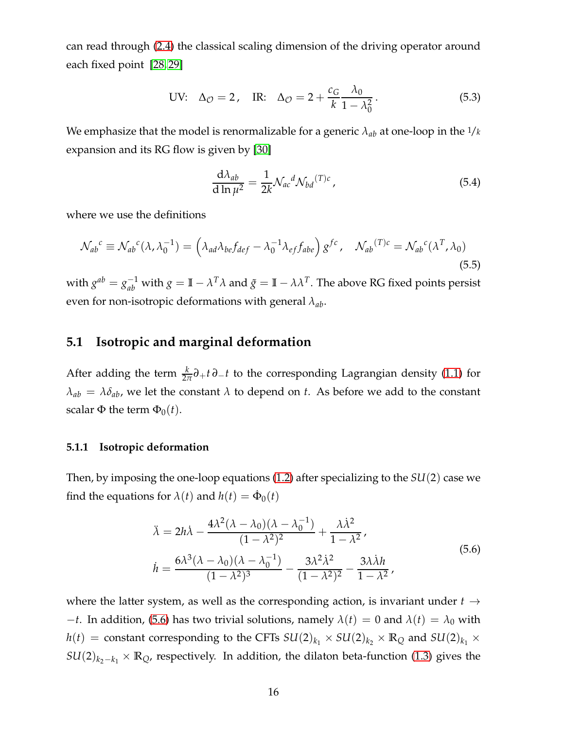can read through [\(2.4\)](#page-4-5) the classical scaling dimension of the driving operator around each fixed point [\[28,](#page-36-8) [29\]](#page-36-9)

UV: 
$$
\Delta_{\mathcal{O}} = 2
$$
, IR:  $\Delta_{\mathcal{O}} = 2 + \frac{c_G}{k} \frac{\lambda_0}{1 - \lambda_0^2}$ . (5.3)

We emphasize that the model is renormalizable for a generic  $\lambda_{ab}$  at one-loop in the  $1/k$ expansion and its RG flow is given by [\[30\]](#page-36-10)

<span id="page-16-4"></span>
$$
\frac{\mathrm{d}\lambda_{ab}}{\mathrm{d}\ln\mu^2} = \frac{1}{2k} \mathcal{N}_{ac}{}^d \mathcal{N}_{bd}{}^{(T)c} \,, \tag{5.4}
$$

where we use the definitions

<span id="page-16-3"></span>
$$
\mathcal{N}_{ab}{}^c \equiv \mathcal{N}_{ab}{}^c (\lambda, \lambda_0^{-1}) = \left( \lambda_{ad} \lambda_{be} f_{def} - \lambda_0^{-1} \lambda_{ef} f_{abe} \right) g^{fc}, \quad \mathcal{N}_{ab}{}^{(T)c} = \mathcal{N}_{ab}{}^c (\lambda^T, \lambda_0)
$$
\n(5.5)

with  $g^{ab} = g_{ab}^{-1}$  with  $g = \mathbb{I} - \lambda^T \lambda$  and  $\tilde{g} = \mathbb{I} - \lambda \lambda^T$ . The above RG fixed points persist even for non-isotropic deformations with general *λab*.

### <span id="page-16-0"></span>**5.1 Isotropic and marginal deformation**

After adding the term  $\frac{k}{2\pi}\partial_+ t \partial_- t$  to the corresponding Lagrangian density [\(1.1\)](#page-2-5) for  $\lambda_{ab} = \lambda \delta_{ab}$ , we let the constant  $\lambda$  to depend on *t*. As before we add to the constant scalar Φ the term  $Φ_0(t)$ .

#### <span id="page-16-1"></span>**5.1.1 Isotropic deformation**

Then, by imposing the one-loop equations [\(1.2\)](#page-2-2) after specializing to the *SU*(2) case we find the equations for  $\lambda(t)$  and  $h(t) = \dot{\Phi}_0(t)$ 

$$
\ddot{\lambda} = 2h\dot{\lambda} - \frac{4\lambda^2(\lambda - \lambda_0)(\lambda - \lambda_0^{-1})}{(1 - \lambda^2)^2} + \frac{\lambda\dot{\lambda}^2}{1 - \lambda^2},
$$
\n
$$
\dot{h} = \frac{6\lambda^3(\lambda - \lambda_0)(\lambda - \lambda_0^{-1})}{(1 - \lambda^2)^3} - \frac{3\lambda^2\dot{\lambda}^2}{(1 - \lambda^2)^2} - \frac{3\lambda\dot{\lambda}h}{1 - \lambda^2},
$$
\n(5.6)

<span id="page-16-2"></span>where the latter system, as well as the corresponding action, is invariant under  $t \rightarrow$  $-t$ . In addition, [\(5.6\)](#page-16-2) has two trivial solutions, namely  $\lambda(t) = 0$  and  $\lambda(t) = \lambda_0$  with  $h(t)$  = constant corresponding to the CFTs  $SU(2)_{k_1} \times SU(2)_{k_2} \times \mathbb{R}_Q$  and  $SU(2)_{k_1} \times$  $SU(2)_{k_2-k_1} \times \mathbb{R}_Q$ , respectively. In addition, the dilaton beta-function [\(1.3\)](#page-2-3) gives the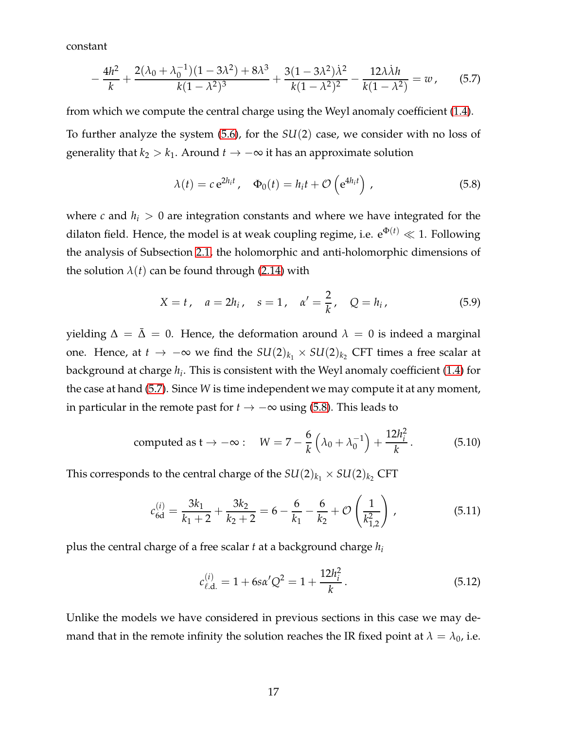constant

<span id="page-17-0"></span>
$$
-\frac{4h^2}{k} + \frac{2(\lambda_0 + \lambda_0^{-1})(1 - 3\lambda^2) + 8\lambda^3}{k(1 - \lambda^2)^3} + \frac{3(1 - 3\lambda^2)\lambda^2}{k(1 - \lambda^2)^2} - \frac{12\lambda\lambda h}{k(1 - \lambda^2)} = w,
$$
 (5.7)

from which we compute the central charge using the Weyl anomaly coefficient [\(1.4\)](#page-2-4). To further analyze the system [\(5.6\)](#page-16-2), for the *SU*(2) case, we consider with no loss of generality that  $k_2 > k_1$ . Around  $t \to -\infty$  it has an approximate solution

<span id="page-17-1"></span>
$$
\lambda(t) = c e^{2h_i t}, \quad \Phi_0(t) = h_i t + \mathcal{O}\left(e^{4h_i t}\right), \tag{5.8}
$$

where *c* and  $h_i > 0$  are integration constants and where we have integrated for the dilaton field. Hence, the model is at weak coupling regime, i.e.  $e^{\Phi(t)} \ll 1$ . Following the analysis of Subsection [2.1,](#page-4-0) the holomorphic and anti-holomorphic dimensions of the solution  $\lambda(t)$  can be found through [\(2.14\)](#page-6-2) with

$$
X = t
$$
,  $a = 2h_i$ ,  $s = 1$ ,  $\alpha' = \frac{2}{k}$ ,  $Q = h_i$ , (5.9)

yielding  $\Delta = \bar{\Delta} = 0$ . Hence, the deformation around  $\lambda = 0$  is indeed a marginal one. Hence, at *t* → −∞ we find the  $SU(2)_{k_1} \times SU(2)_{k_2}$  CFT times a free scalar at background at charge *h<sup>i</sup>* . This is consistent with the Weyl anomaly coefficient [\(1.4\)](#page-2-4) for the case at hand [\(5.7\)](#page-17-0). Since *W* is time independent we may compute it at any moment, in particular in the remote past for  $t \rightarrow -\infty$  using [\(5.8\)](#page-17-1). This leads to

<span id="page-17-2"></span>computed as 
$$
t \to -\infty
$$
:  $W = 7 - \frac{6}{k} \left( \lambda_0 + \lambda_0^{-1} \right) + \frac{12h_i^2}{k}$ . (5.10)

This corresponds to the central charge of the  $SU(2)_{k_1} \times SU(2)_{k_2}$  CFT

$$
c_{\text{6d}}^{(i)} = \frac{3k_1}{k_1 + 2} + \frac{3k_2}{k_2 + 2} = 6 - \frac{6}{k_1} - \frac{6}{k_2} + \mathcal{O}\left(\frac{1}{k_{1,2}^2}\right),\tag{5.11}
$$

plus the central charge of a free scalar *t* at a background charge *h<sup>i</sup>*

$$
c_{\ell, \mathbf{d}}^{(i)} = 1 + 6s\alpha' Q^2 = 1 + \frac{12h_i^2}{k}.
$$
 (5.12)

Unlike the models we have considered in previous sections in this case we may demand that in the remote infinity the solution reaches the IR fixed point at  $\lambda = \lambda_0$ , i.e.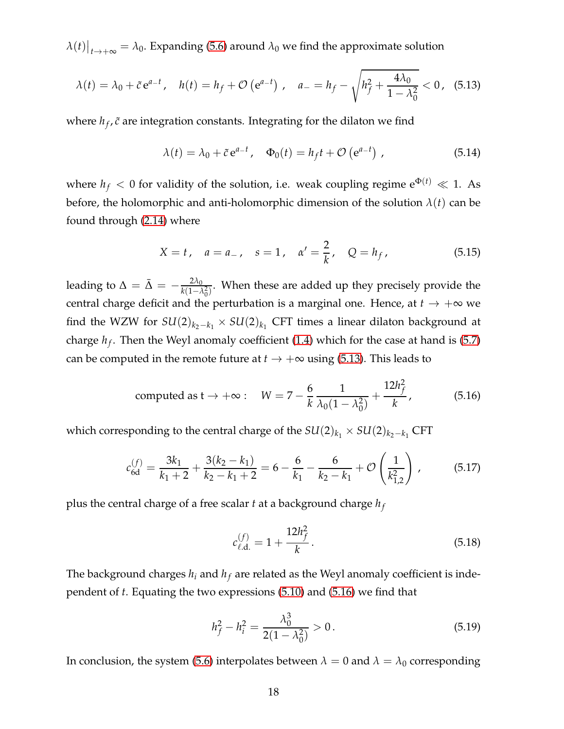$\lambda(t)|_{t\to +\infty} = \lambda_0$ . Expanding [\(5.6\)](#page-16-2) around  $\lambda_0$  we find the approximate solution

<span id="page-18-0"></span>
$$
\lambda(t) = \lambda_0 + \tilde{c} e^{a-t}, \quad h(t) = h_f + \mathcal{O}\left(e^{a-t}\right), \quad a_- = h_f - \sqrt{h_f^2 + \frac{4\lambda_0}{1 - \lambda_0^2}} < 0, \quad (5.13)
$$

where  $h_f$ ,  $\tilde{c}$  are integration constants. Integrating for the dilaton we find

$$
\lambda(t) = \lambda_0 + \tilde{c} e^{a-t}, \quad \Phi_0(t) = h_f t + \mathcal{O}(e^{a-t}), \qquad (5.14)
$$

where  $h_f < 0$  for validity of the solution, i.e. weak coupling regime  $e^{\Phi(t)} \ll 1$ . As before, the holomorphic and anti-holomorphic dimension of the solution  $\lambda(t)$  can be found through [\(2.14\)](#page-6-2) where

$$
X = t
$$
,  $a = a_{-}$ ,  $s = 1$ ,  $\alpha' = \frac{2}{k}$ ,  $Q = h_f$ , (5.15)

leading to  $\Delta = \bar{\Delta} = -\frac{2\lambda_0}{k(1 - \lambda)}$  $\frac{2\lambda_0}{k(1-\lambda_0^2)}$ . When these are added up they precisely provide the central charge deficit and the perturbation is a marginal one. Hence, at  $t \to +\infty$  we find the WZW for  $SU(2)_{k_2-k_1} \times SU(2)_{k_1}$  CFT times a linear dilaton background at charge *h<sup>f</sup>* . Then the Weyl anomaly coefficient [\(1.4\)](#page-2-4) which for the case at hand is [\(5.7\)](#page-17-0) can be computed in the remote future at  $t \to +\infty$  using [\(5.13\)](#page-18-0). This leads to

<span id="page-18-1"></span>computed as 
$$
t \to +\infty
$$
:  $W = 7 - \frac{6}{k} \frac{1}{\lambda_0 (1 - \lambda_0^2)} + \frac{12h_f^2}{k}$ , (5.16)

which corresponding to the central charge of the  $SU(2)_{k_1} \times SU(2)_{k_2-k_1}$  CFT

$$
c_{6d}^{(f)} = \frac{3k_1}{k_1 + 2} + \frac{3(k_2 - k_1)}{k_2 - k_1 + 2} = 6 - \frac{6}{k_1} - \frac{6}{k_2 - k_1} + \mathcal{O}\left(\frac{1}{k_{1,2}^2}\right),\tag{5.17}
$$

plus the central charge of a free scalar *t* at a background charge *h<sup>f</sup>*

$$
c_{\ell, \mathbf{d}}^{(f)} = 1 + \frac{12h_f^2}{k}.
$$
\n(5.18)

The background charges  $h_i$  and  $h_f$  are related as the Weyl anomaly coefficient is independent of *t*. Equating the two expressions [\(5.10\)](#page-17-2) and [\(5.16\)](#page-18-1) we find that

$$
h_f^2 - h_i^2 = \frac{\lambda_0^3}{2(1 - \lambda_0^2)} > 0.
$$
\n(5.19)

In conclusion, the system [\(5.6\)](#page-16-2) interpolates between  $\lambda = 0$  and  $\lambda = \lambda_0$  corresponding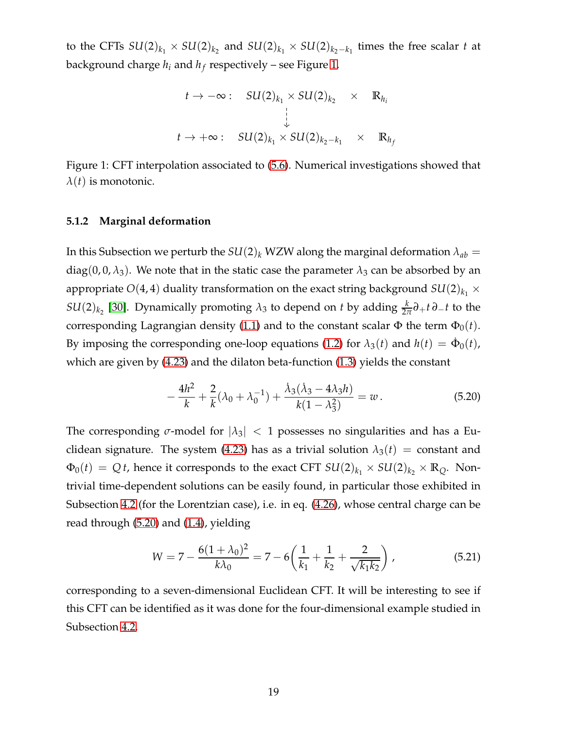to the CFTs  $SU(2)_{k_1} \times SU(2)_{k_2}$  and  $SU(2)_{k_1} \times SU(2)_{k_2-k_1}$  times the free scalar *t* at background charge *h<sup>i</sup>* and *h<sup>f</sup>* respectively – see Figure [1.](#page-19-1)

$$
t \to -\infty: \quad SU(2)_{k_1} \times SU(2)_{k_2} \times \mathbb{R}_{h_i}
$$
  

$$
\downarrow
$$
  

$$
t \to +\infty: \quad SU(2)_{k_1} \times SU(2)_{k_2 - k_1} \times \mathbb{R}_{h_j}
$$

<span id="page-19-1"></span><span id="page-19-0"></span>Figure 1: CFT interpolation associated to [\(5.6\)](#page-16-2). Numerical investigations showed that  $\lambda(t)$  is monotonic.

#### **5.1.2 Marginal deformation**

In this Subsection we perturb the  $SU(2)_k$  WZW along the marginal deformation  $\lambda_{ab} =$ diag(0, 0,  $\lambda_3$ ). We note that in the static case the parameter  $\lambda_3$  can be absorbed by an appropriate  $O(4, 4)$  duality transformation on the exact string background  $SU(2)_{k_1} \times$ *SU*(2)<sub>*k*<sub>2</sub></sub> [\[30\]](#page-36-10). Dynamically promoting  $\lambda_3$  to depend on *t* by adding  $\frac{k}{2\pi}\partial_+ t \partial_- t$  to the corresponding Lagrangian density [\(1.1\)](#page-2-5) and to the constant scalar  $\Phi$  the term  $\Phi_0(t)$ . By imposing the corresponding one-loop equations [\(1.2\)](#page-2-2) for  $\lambda_3(t)$  and  $h(t) = \dot{\Phi}_0(t)$ , which are given by [\(4.23\)](#page-14-1) and the dilaton beta-function [\(1.3\)](#page-2-3) yields the constant

<span id="page-19-2"></span>
$$
-\frac{4h^2}{k} + \frac{2}{k}(\lambda_0 + \lambda_0^{-1}) + \frac{\dot{\lambda}_3(\dot{\lambda}_3 - 4\lambda_3 h)}{k(1 - \lambda_3^2)} = w.
$$
 (5.20)

The corresponding  $\sigma$ -model for  $|\lambda_3|$  < 1 possesses no singularities and has a Eu-clidean signature. The system [\(4.23\)](#page-14-1) has as a trivial solution  $\lambda_3(t)$  = constant and  $\Phi_0(t) = Q t$ , hence it corresponds to the exact CFT  $SU(2)_{k_1} \times SU(2)_{k_2} \times \mathbb{R}_Q$ . Nontrivial time-dependent solutions can be easily found, in particular those exhibited in Subsection [4.2](#page-13-0) (for the Lorentzian case), i.e. in eq. [\(4.26\)](#page-14-3), whose central charge can be read through [\(5.20\)](#page-19-2) and [\(1.4\)](#page-2-4), yielding

$$
W = 7 - \frac{6(1 + \lambda_0)^2}{k\lambda_0} = 7 - 6\left(\frac{1}{k_1} + \frac{1}{k_2} + \frac{2}{\sqrt{k_1 k_2}}\right),
$$
 (5.21)

corresponding to a seven-dimensional Euclidean CFT. It will be interesting to see if this CFT can be identified as it was done for the four-dimensional example studied in Subsection [4.2.](#page-13-0)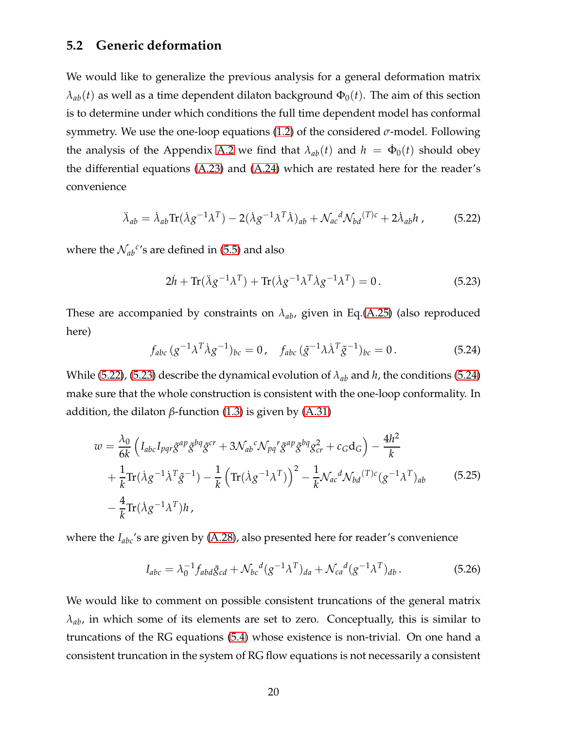### <span id="page-20-0"></span>**5.2 Generic deformation**

We would like to generalize the previous analysis for a general deformation matrix  $\lambda_{ab}(t)$  as well as a time dependent dilaton background  $\Phi_0(t)$ . The aim of this section is to determine under which conditions the full time dependent model has conformal symmetry. We use the one-loop equations [\(1.2\)](#page-2-2) of the considered *σ*-model. Following the analysis of the Appendix [A.2](#page-30-0) we find that  $\lambda_{ab}(t)$  and  $h = \dot{\Phi}_0(t)$  should obey the differential equations [\(A.23\)](#page-32-0) and [\(A.24\)](#page-32-1) which are restated here for the reader's convenience

<span id="page-20-1"></span>
$$
\ddot{\lambda}_{ab} = \dot{\lambda}_{ab} \text{Tr}(\dot{\lambda} g^{-1} \lambda^T) - 2(\dot{\lambda} g^{-1} \lambda^T \dot{\lambda})_{ab} + \mathcal{N}_{ac}{}^d \mathcal{N}_{bd}{}^{(T)c} + 2\dot{\lambda}_{ab} h \,, \tag{5.22}
$$

where the  $\mathcal{N}_{ab}^{\ c}$ 's are defined in [\(5.5\)](#page-16-3) and also

<span id="page-20-2"></span>
$$
2\dot{h} + \text{Tr}(\ddot{\lambda}g^{-1}\lambda^T) + \text{Tr}(\dot{\lambda}g^{-1}\lambda^T\dot{\lambda}g^{-1}\lambda^T) = 0.
$$
 (5.23)

These are accompanied by constraints on *λab*, given in Eq.[\(A.25\)](#page-33-0) (also reproduced here)

<span id="page-20-3"></span>
$$
f_{abc} (g^{-1} \lambda^T \dot{\lambda} g^{-1})_{bc} = 0, \quad f_{abc} (\tilde{g}^{-1} \lambda \dot{\lambda}^T \tilde{g}^{-1})_{bc} = 0.
$$
 (5.24)

While [\(5.22\)](#page-20-1), [\(5.23\)](#page-20-2) describe the dynamical evolution of *λab* and *h*, the conditions [\(5.24\)](#page-20-3) make sure that the whole construction is consistent with the one-loop conformality. In addition, the dilaton  $β$ -function [\(1.3\)](#page-2-3) is given by [\(A.31\)](#page-34-3)

$$
w = \frac{\lambda_0}{6k} \left( I_{abc} I_{pqr} \tilde{g}^{ap} \tilde{g}^{bq} \tilde{g}^{cr} + 3 \mathcal{N}_{ab}{}^c \mathcal{N}_{pq}{}^r \tilde{g}^{ap} \tilde{g}^{bq} g_{cr}^2 + c_G \mathbf{d}_G \right) - \frac{4h^2}{k} + \frac{1}{k} \text{Tr} (\lambda g^{-1} \lambda^T \tilde{g}^{-1}) - \frac{1}{k} \left( \text{Tr} (\lambda g^{-1} \lambda^T) \right)^2 - \frac{1}{k} \mathcal{N}_{ac}{}^d \mathcal{N}_{bd}{}^{(T)c} (g^{-1} \lambda^T)_{ab} \tag{5.25}
$$

$$
- \frac{4}{k} \text{Tr} (\lambda g^{-1} \lambda^T) h \,,
$$

where the *Iabc*'s are given by [\(A.28\)](#page-33-1), also presented here for reader's convenience

$$
I_{abc} = \lambda_0^{-1} f_{abd} \tilde{g}_{cd} + \mathcal{N}_{bc}{}^d (g^{-1} \lambda^T)_{da} + \mathcal{N}_{ca}{}^d (g^{-1} \lambda^T)_{db}.
$$
 (5.26)

We would like to comment on possible consistent truncations of the general matrix *λab*, in which some of its elements are set to zero. Conceptually, this is similar to truncations of the RG equations [\(5.4\)](#page-16-4) whose existence is non-trivial. On one hand a consistent truncation in the system of RG flow equations is not necessarily a consistent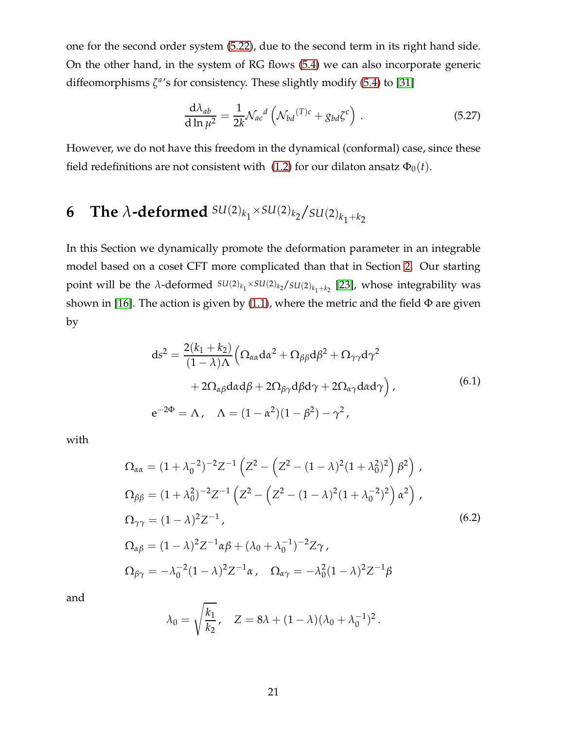one for the second order system [\(5.22\)](#page-20-1), due to the second term in its right hand side. On the other hand, in the system of RG flows [\(5.4\)](#page-16-4) we can also incorporate generic diffeomorphisms  $\zeta^{a}$ 's for consistency. These slightly modify [\(5.4\)](#page-16-4) to [\[31\]](#page-36-11)

$$
\frac{\mathrm{d}\lambda_{ab}}{\mathrm{d}\ln\mu^2} = \frac{1}{2k} \mathcal{N}_{ac}{}^d \left( \mathcal{N}_{bd}{}^{(T)c} + g_{bd} \zeta^c \right) \,. \tag{5.27}
$$

However, we do not have this freedom in the dynamical (conformal) case, since these field redefinitions are not consistent with [\(1.2\)](#page-2-2) for our dilaton ansatz  $\Phi_0(t)$ .

# <span id="page-21-0"></span>**6** The  $\lambda$ -deformed  $SU(2)_{k_1} \times SU(2)_{k_2} / SU(2)_{k_1+k_2}$

In this Section we dynamically promote the deformation parameter in an integrable model based on a coset CFT more complicated than that in Section [2.](#page-3-0) Our starting  $\text{point will be the } λ\text{-deformed } SU(2)_{k_1} \times SU(2)_{k_2}/SU(2)_{k_1+k_2}$  [\[23\]](#page-36-3), whose integrability was shown in [\[16\]](#page-35-9). The action is given by [\(1.1\)](#page-2-5), where the metric and the field  $\Phi$  are given by

$$
ds^{2} = \frac{2(k_{1} + k_{2})}{(1 - \lambda)\Lambda} \left( \Omega_{\alpha\alpha} da^{2} + \Omega_{\beta\beta} d\beta^{2} + \Omega_{\gamma\gamma} d\gamma^{2} + 2\Omega_{\alpha\beta} d\alpha d\beta + 2\Omega_{\beta\gamma} d\beta d\gamma + 2\Omega_{\alpha\gamma} d\alpha d\gamma \right),
$$
\n
$$
e^{-2\Phi} = \Lambda, \quad \Lambda = (1 - \alpha^{2})(1 - \beta^{2}) - \gamma^{2},
$$
\n(6.1)

<span id="page-21-1"></span>with

$$
\Omega_{\alpha\alpha} = (1 + \lambda_0^{-2})^{-2} Z^{-1} \left( Z^2 - \left( Z^2 - (1 - \lambda)^2 (1 + \lambda_0^2)^2 \right) \beta^2 \right),
$$
\n
$$
\Omega_{\beta\beta} = (1 + \lambda_0^2)^{-2} Z^{-1} \left( Z^2 - \left( Z^2 - (1 - \lambda)^2 (1 + \lambda_0^{-2})^2 \right) \alpha^2 \right),
$$
\n
$$
\Omega_{\gamma\gamma} = (1 - \lambda)^2 Z^{-1},
$$
\n
$$
\Omega_{\alpha\beta} = (1 - \lambda)^2 Z^{-1} \alpha \beta + (\lambda_0 + \lambda_0^{-1})^{-2} Z \gamma,
$$
\n
$$
\Omega_{\beta\gamma} = -\lambda_0^{-2} (1 - \lambda)^2 Z^{-1} \alpha, \quad \Omega_{\alpha\gamma} = -\lambda_0^2 (1 - \lambda)^2 Z^{-1} \beta
$$
\n(6.2)

and

$$
\lambda_0 = \sqrt{\frac{k_1}{k_2}}, \quad Z = 8\lambda + (1 - \lambda)(\lambda_0 + \lambda_0^{-1})^2.
$$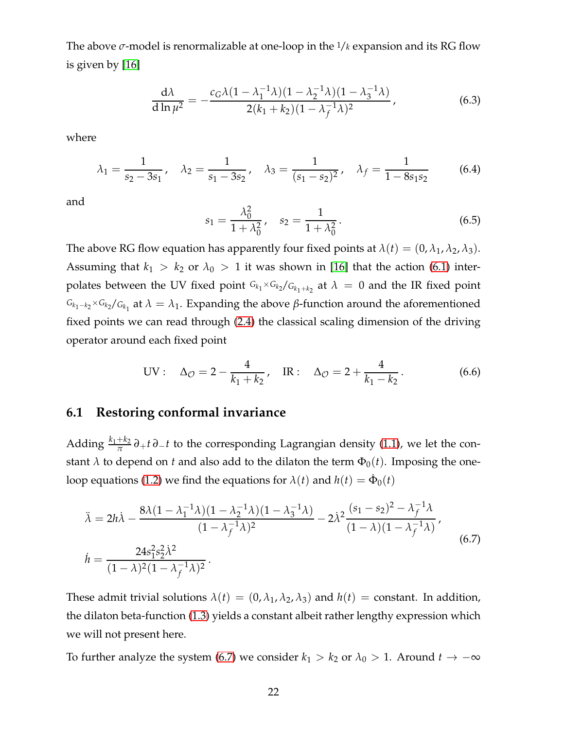The above *σ*-model is renormalizable at one-loop in the 1/*k* expansion and its RG flow is given by [\[16\]](#page-35-9)

$$
\frac{d\lambda}{d\ln\mu^2} = -\frac{c_G\lambda(1-\lambda_1^{-1}\lambda)(1-\lambda_2^{-1}\lambda)(1-\lambda_3^{-1}\lambda)}{2(k_1+k_2)(1-\lambda_f^{-1}\lambda)^2},
$$
\n(6.3)

where

$$
\lambda_1 = \frac{1}{s_2 - 3s_1}, \quad \lambda_2 = \frac{1}{s_1 - 3s_2}, \quad \lambda_3 = \frac{1}{(s_1 - s_2)^2}, \quad \lambda_f = \frac{1}{1 - 8s_1s_2}
$$
\n(6.4)

and

$$
s_1 = \frac{\lambda_0^2}{1 + \lambda_0^2}, \quad s_2 = \frac{1}{1 + \lambda_0^2}.
$$
 (6.5)

The above RG flow equation has apparently four fixed points at  $\lambda(t) = (0, \lambda_1, \lambda_2, \lambda_3)$ . Assuming that  $k_1 > k_2$  or  $\lambda_0 > 1$  it was shown in [\[16\]](#page-35-9) that the action [\(6.1\)](#page-21-1) interpolates between the UV fixed point  $G_{k_1} \times G_{k_2}/G_{k_1+k_2}$  at  $\lambda = 0$  and the IR fixed point  $G_{k_1-k_2}$ × $G_{k_2}/G_{k_1}$  at  $\lambda = \lambda_1$ . Expanding the above β-function around the aforementioned fixed points we can read through [\(2.4\)](#page-4-5) the classical scaling dimension of the driving operator around each fixed point

UV: 
$$
\Delta_{\mathcal{O}} = 2 - \frac{4}{k_1 + k_2}
$$
, IR:  $\Delta_{\mathcal{O}} = 2 + \frac{4}{k_1 - k_2}$ . (6.6)

### <span id="page-22-0"></span>**6.1 Restoring conformal invariance**

Adding  $\frac{k_1+k_2}{\pi} \partial_+ t \partial_- t$  to the corresponding Lagrangian density [\(1.1\)](#page-2-5), we let the constant  $\lambda$  to depend on *t* and also add to the dilaton the term  $\Phi_0(t)$ . Imposing the one-loop equations [\(1.2\)](#page-2-2) we find the equations for  $\lambda(t)$  and  $h(t) = \dot{\Phi}_0(t)$ 

<span id="page-22-1"></span>
$$
\ddot{\lambda} = 2h\dot{\lambda} - \frac{8\lambda(1 - \lambda_1^{-1}\lambda)(1 - \lambda_2^{-1}\lambda)(1 - \lambda_3^{-1}\lambda)}{(1 - \lambda_f^{-1}\lambda)^2} - 2\dot{\lambda}^2 \frac{(s_1 - s_2)^2 - \lambda_f^{-1}\lambda}{(1 - \lambda)(1 - \lambda_f^{-1}\lambda)},
$$
\n
$$
\dot{h} = \frac{24s_1^2s_2^2\dot{\lambda}^2}{(1 - \lambda)^2(1 - \lambda_f^{-1}\lambda)^2}.
$$
\n(6.7)

These admit trivial solutions  $\lambda(t) = (0, \lambda_1, \lambda_2, \lambda_3)$  and  $h(t) =$  constant. In addition, the dilaton beta-function [\(1.3\)](#page-2-3) yields a constant albeit rather lengthy expression which we will not present here.

To further analyze the system [\(6.7\)](#page-22-1) we consider  $k_1 > k_2$  or  $\lambda_0 > 1$ . Around  $t \to -\infty$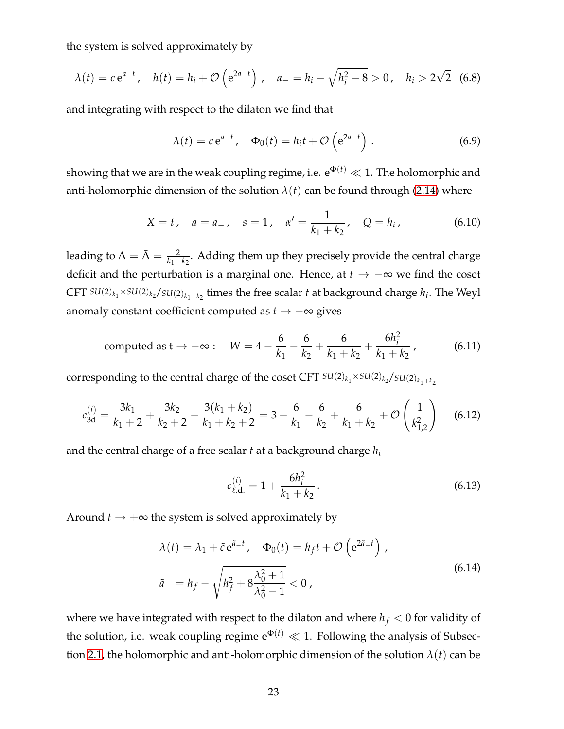the system is solved approximately by

$$
\lambda(t) = c e^{a-t}, \quad h(t) = h_i + \mathcal{O}\left(e^{2a-t}\right), \quad a_- = h_i - \sqrt{h_i^2 - 8} > 0, \quad h_i > 2\sqrt{2} \quad (6.8)
$$

and integrating with respect to the dilaton we find that

$$
\lambda(t) = c e^{a-t}, \quad \Phi_0(t) = h_i t + \mathcal{O}\left(e^{2a-t}\right). \tag{6.9}
$$

showing that we are in the weak coupling regime, i.e.  $e^{\Phi(t)} \ll 1$ . The holomorphic and anti-holomorphic dimension of the solution  $\lambda(t)$  can be found through [\(2.14\)](#page-6-2) where

$$
X = t
$$
,  $a = a_{-}$ ,  $s = 1$ ,  $\alpha' = \frac{1}{k_1 + k_2}$ ,  $Q = h_i$ , (6.10)

leading to  $\Delta = \bar{\Delta} = \frac{2}{k_1 + k_2}$ . Adding them up they precisely provide the central charge deficit and the perturbation is a marginal one. Hence, at *<sup>t</sup>* → −<sup>∞</sup> we find the coset  $CFT$   $SU(2)_{k_1} \times SU(2)_{k_2}/SU(2)_{k_1+k_2}$  times the free scalar *t* at background charge  $h_i$ . The Weyl anomaly constant coefficient computed as *<sup>t</sup>* → −<sup>∞</sup> gives

<span id="page-23-0"></span>computed as 
$$
t \to -\infty
$$
:  $W = 4 - \frac{6}{k_1} - \frac{6}{k_2} + \frac{6}{k_1 + k_2} + \frac{6h_i^2}{k_1 + k_2}$ , (6.11)

corresponding to the central charge of the coset CFT  $^{SU(2)}k_1 \times SU(2)_{k_2}/SU(2)_{k_1+k_2}$ 

$$
c_{3d}^{(i)} = \frac{3k_1}{k_1 + 2} + \frac{3k_2}{k_2 + 2} - \frac{3(k_1 + k_2)}{k_1 + k_2 + 2} = 3 - \frac{6}{k_1} - \frac{6}{k_2} + \frac{6}{k_1 + k_2} + \mathcal{O}\left(\frac{1}{k_{1,2}^2}\right) \tag{6.12}
$$

and the central charge of a free scalar *t* at a background charge *h<sup>i</sup>*

$$
c_{\ell, \mathbf{d}}^{(i)} = 1 + \frac{6h_i^2}{k_1 + k_2} \,. \tag{6.13}
$$

Around  $t \rightarrow +\infty$  the system is solved approximately by

$$
\lambda(t) = \lambda_1 + \tilde{c} e^{\tilde{a}_- t}, \quad \Phi_0(t) = h_f t + \mathcal{O}\left(e^{2\tilde{a}_- t}\right),
$$
  

$$
\tilde{a}_- = h_f - \sqrt{h_f^2 + 8\frac{\lambda_0^2 + 1}{\lambda_0^2 - 1}} < 0,
$$
 (6.14)

where we have integrated with respect to the dilaton and where  $h_f < 0$  for validity of the solution, i.e. weak coupling regime  $e^{\Phi(t)} \ll 1$ . Following the analysis of Subsec-tion [2.1,](#page-4-0) the holomorphic and anti-holomorphic dimension of the solution  $\lambda(t)$  can be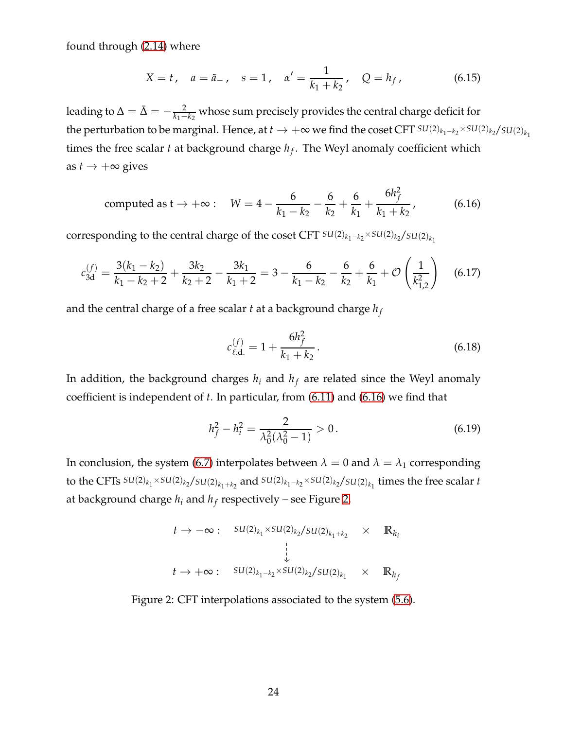found through [\(2.14\)](#page-6-2) where

$$
X = t
$$
,  $a = \tilde{a}$ ,  $s = 1$ ,  $\alpha' = \frac{1}{k_1 + k_2}$ ,  $Q = h_f$ , (6.15)

leading to  $\Delta = \bar{\Delta} = -\frac{2}{k_1 - k_2}$  whose sum precisely provides the central charge deficit for the perturbation to be marginal. Hence, at  $t \to +\infty$  we find the coset CFT  $SU(2)_{k_1-k_2} \times SU(2)_{k_2}/SU(2)_{k_1}$ times the free scalar *t* at background charge *h<sup>f</sup>* . The Weyl anomaly coefficient which as  $t \rightarrow +\infty$  gives

<span id="page-24-0"></span>computed as 
$$
t \to +\infty
$$
:  $W = 4 - \frac{6}{k_1 - k_2} - \frac{6}{k_2} + \frac{6}{k_1} + \frac{6h_f^2}{k_1 + k_2}$ , (6.16)

corresponding to the central charge of the coset CFT  $SU(2)_{k_1-k_2} \times SU(2)_{k_2}/SU(2)_{k_1}$ 

$$
c_{3d}^{(f)} = \frac{3(k_1 - k_2)}{k_1 - k_2 + 2} + \frac{3k_2}{k_2 + 2} - \frac{3k_1}{k_1 + 2} = 3 - \frac{6}{k_1 - k_2} - \frac{6}{k_2} + \frac{6}{k_1} + \mathcal{O}\left(\frac{1}{k_{1,2}^2}\right) \tag{6.17}
$$

and the central charge of a free scalar *t* at a background charge *h<sup>f</sup>*

$$
c_{\ell, \mathbf{d}}^{(f)} = 1 + \frac{6h_f^2}{k_1 + k_2} \,. \tag{6.18}
$$

In addition, the background charges  $h_i$  and  $h_f$  are related since the Weyl anomaly coefficient is independent of *t*. In particular, from [\(6.11\)](#page-23-0) and [\(6.16\)](#page-24-0) we find that

$$
h_f^2 - h_i^2 = \frac{2}{\lambda_0^2 (\lambda_0^2 - 1)} > 0.
$$
 (6.19)

In conclusion, the system [\(6.7\)](#page-22-1) interpolates between  $\lambda = 0$  and  $\lambda = \lambda_1$  corresponding to the CFTs  $SU(2)_{k_1} \times SU(2)_{k_2}/SU(2)_{k_1+k_2}$  and  $SU(2)_{k_1-k_2} \times SU(2)_{k_2}/SU(2)_{k_1}$  times the free scalar *t* at background charge *h<sup>i</sup>* and *h<sup>f</sup>* respectively – see Figure [2.](#page-24-1)

$$
t \to -\infty: \quad SU(2)_{k_1} \times SU(2)_{k_2}/SU(2)_{k_1+k_2} \times \mathbb{R}_{h_i}
$$
\n
$$
\downarrow
$$
\n
$$
t \to +\infty: \quad SU(2)_{k_1-k_2} \times SU(2)_{k_2}/SU(2)_{k_1} \times \mathbb{R}_{h_f}
$$

<span id="page-24-1"></span>Figure 2: CFT interpolations associated to the system [\(5.6\)](#page-16-2).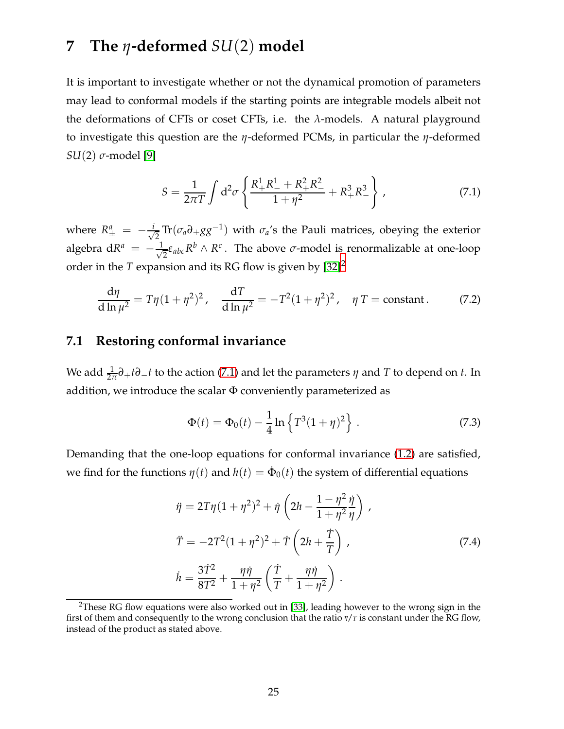## <span id="page-25-0"></span>**7 The** *η***-deformed** *SU*(2) **model**

It is important to investigate whether or not the dynamical promotion of parameters may lead to conformal models if the starting points are integrable models albeit not the deformations of CFTs or coset CFTs, i.e. the *λ*-models. A natural playground to investigate this question are the *η*-deformed PCMs, in particular the *η*-deformed *SU*(2) *σ*-model [\[9\]](#page-35-3)

<span id="page-25-3"></span>
$$
S = \frac{1}{2\pi T} \int d^2 \sigma \left\{ \frac{R_+^1 R_-^1 + R_+^2 R_-^2}{1 + \eta^2} + R_+^3 R_-^3 \right\} \,, \tag{7.1}
$$

where  $R^a_{\pm} = -\frac{i}{\sqrt{2}}$  $\frac{1}{2} \text{Tr}(\sigma_a \partial_{\pm} gg^{-1})$  with  $\sigma_a$ 's the Pauli matrices, obeying the exterior algebra d $R^a = -\frac{1}{\sqrt{2}}$  $\frac{1}{2}$ ε<sub>abc</sub> $R^b \wedge R^c$ . The above *σ*-model is renormalizable at one-loop order in the *T* expansion and its RG flow is given by  $[32]^2$  $[32]^2$  $[32]^2$ 

$$
\frac{d\eta}{d\ln\mu^2} = T\eta(1+\eta^2)^2, \quad \frac{dT}{d\ln\mu^2} = -T^2(1+\eta^2)^2, \quad \eta \, T = \text{constant}.
$$
 (7.2)

### <span id="page-25-1"></span>**7.1 Restoring conformal invariance**

We add  $\frac{1}{2\pi}\partial_+ t\partial_- t$  to the action [\(7.1\)](#page-25-3) and let the parameters  $\eta$  and  $T$  to depend on  $t$ . In addition, we introduce the scalar  $\Phi$  conveniently parameterized as

<span id="page-25-4"></span>
$$
\Phi(t) = \Phi_0(t) - \frac{1}{4} \ln \left\{ T^3 (1 + \eta)^2 \right\} . \tag{7.3}
$$

Demanding that the one-loop equations for conformal invariance [\(1.2\)](#page-2-2) are satisfied, we find for the functions  $\eta(t)$  and  $h(t) = \dot{\Phi}_0(t)$  the system of differential equations

$$
\ddot{\eta} = 2T\eta (1 + \eta^2)^2 + \dot{\eta} \left( 2h - \frac{1 - \eta^2}{1 + \eta^2} \frac{\dot{\eta}}{\eta} \right),
$$
  

$$
\ddot{T} = -2T^2 (1 + \eta^2)^2 + \dot{T} \left( 2h + \frac{\dot{T}}{T} \right),
$$
  

$$
\dot{h} = \frac{3\dot{T}^2}{8T^2} + \frac{\eta \dot{\eta}}{1 + \eta^2} \left( \frac{\dot{T}}{T} + \frac{\eta \dot{\eta}}{1 + \eta^2} \right).
$$
 (7.4)

<span id="page-25-5"></span><span id="page-25-2"></span><sup>&</sup>lt;sup>2</sup>These RG flow equations were also worked out in [\[33\]](#page-36-13), leading however to the wrong sign in the first of them and consequently to the wrong conclusion that the ratio *η*/*T* is constant under the RG flow, instead of the product as stated above.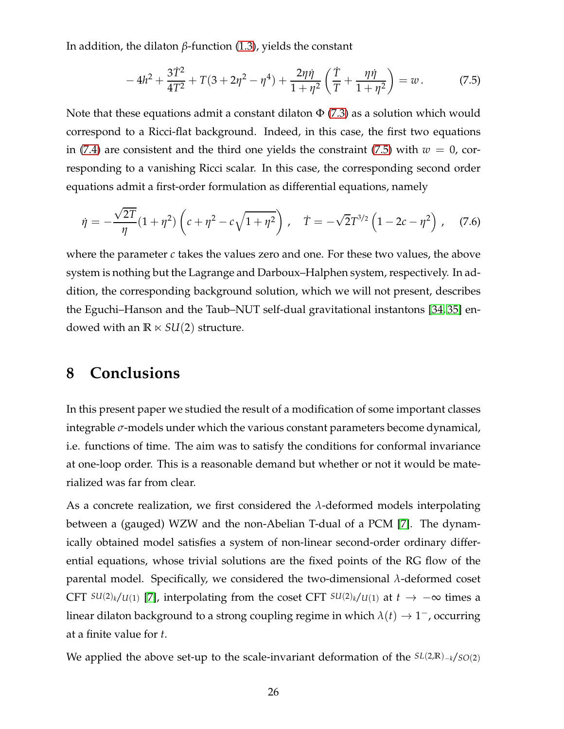In addition, the dilaton *β*-function [\(1.3\)](#page-2-3), yields the constant

<span id="page-26-1"></span>
$$
-4h^2 + \frac{3\dot{T}^2}{4T^2} + T(3+2\eta^2 - \eta^4) + \frac{2\eta\dot{\eta}}{1+\eta^2} \left(\frac{\dot{T}}{T} + \frac{\eta\dot{\eta}}{1+\eta^2}\right) = w.
$$
 (7.5)

Note that these equations admit a constant dilaton  $\Phi$  [\(7.3\)](#page-25-4) as a solution which would correspond to a Ricci-flat background. Indeed, in this case, the first two equations in [\(7.4\)](#page-25-5) are consistent and the third one yields the constraint [\(7.5\)](#page-26-1) with  $w = 0$ , corresponding to a vanishing Ricci scalar. In this case, the corresponding second order equations admit a first-order formulation as differential equations, namely

$$
\dot{\eta} = -\frac{\sqrt{2T}}{\eta} (1 + \eta^2) \left( c + \eta^2 - c \sqrt{1 + \eta^2} \right), \quad \dot{T} = -\sqrt{2} T^{3/2} \left( 1 - 2c - \eta^2 \right), \quad (7.6)
$$

where the parameter *c* takes the values zero and one. For these two values, the above system is nothing but the Lagrange and Darboux–Halphen system, respectively. In addition, the corresponding background solution, which we will not present, describes the Eguchi–Hanson and the Taub–NUT self-dual gravitational instantons [\[34,](#page-37-0) [35\]](#page-37-1) endowed with an  $\mathbb{R} \times SU(2)$  structure.

## <span id="page-26-0"></span>**8 Conclusions**

In this present paper we studied the result of a modification of some important classes integrable *σ*-models under which the various constant parameters become dynamical, i.e. functions of time. The aim was to satisfy the conditions for conformal invariance at one-loop order. This is a reasonable demand but whether or not it would be materialized was far from clear.

As a concrete realization, we first considered the *λ*-deformed models interpolating between a (gauged) WZW and the non-Abelian T-dual of a PCM [\[7\]](#page-35-1). The dynamically obtained model satisfies a system of non-linear second-order ordinary differential equations, whose trivial solutions are the fixed points of the RG flow of the parental model. Specifically, we considered the two-dimensional *λ*-deformed coset CFT  $SU(2)_k/U(1)$  [\[7\]](#page-35-1), interpolating from the coset CFT  $SU(2)_k/U(1)$  at  $t \to -\infty$  times a linear dilaton background to a strong coupling regime in which  $\lambda(t) \rightarrow 1^-$ , occurring at a finite value for *t*.

We applied the above set-up to the scale-invariant deformation of the *SL*(2,**R**)−*<sup>k</sup>*/*SO*(2)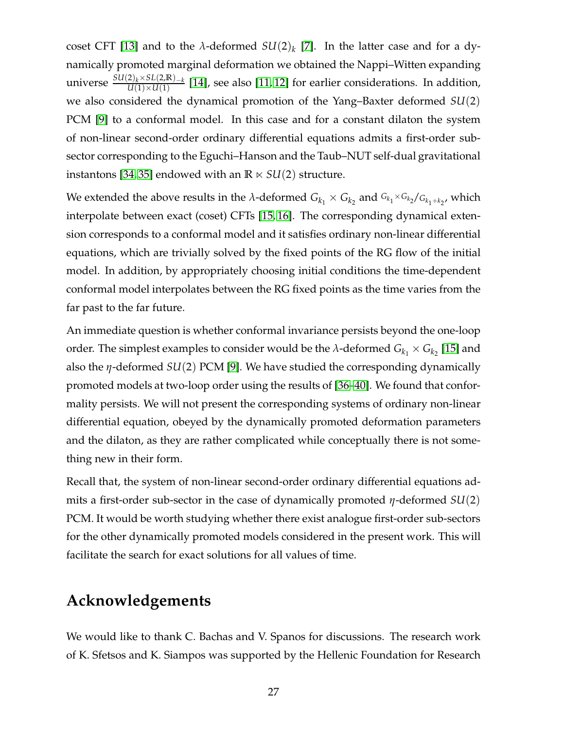coset CFT [\[13\]](#page-35-6) and to the *λ*-deformed  $SU(2)_k$  [\[7\]](#page-35-1). In the latter case and for a dynamically promoted marginal deformation we obtained the Nappi–Witten expanding universe  $\frac{SU(2)_k \times SL(2,\mathbb{R})_{-k}}{U(1) \times U(1)}$  [\[14\]](#page-35-7), see also [\[11,](#page-35-13) [12\]](#page-35-5) for earlier considerations. In addition, we also considered the dynamical promotion of the Yang–Baxter deformed *SU*(2) PCM [\[9\]](#page-35-3) to a conformal model. In this case and for a constant dilaton the system of non-linear second-order ordinary differential equations admits a first-order subsector corresponding to the Eguchi–Hanson and the Taub–NUT self-dual gravitational instantons [\[34,](#page-37-0) [35\]](#page-37-1) endowed with an  $\mathbb{R} \times SU(2)$  structure.

We extended the above results in the *λ*-deformed  $G_{k_1}\times G_{k_2}$  and  $G_{k_1}\times G_{k_2}/G_{k_1+k_2}$ , which interpolate between exact (coset) CFTs [\[15,](#page-35-8) [16\]](#page-35-9). The corresponding dynamical extension corresponds to a conformal model and it satisfies ordinary non-linear differential equations, which are trivially solved by the fixed points of the RG flow of the initial model. In addition, by appropriately choosing initial conditions the time-dependent conformal model interpolates between the RG fixed points as the time varies from the far past to the far future.

An immediate question is whether conformal invariance persists beyond the one-loop order. The simplest examples to consider would be the  $\lambda$ -deformed  $G_{k_1} \times G_{k_2}$  [\[15\]](#page-35-8) and also the *η*-deformed *SU*(2) PCM [\[9\]](#page-35-3). We have studied the corresponding dynamically promoted models at two-loop order using the results of [\[36](#page-37-2)[–40\]](#page-37-3). We found that conformality persists. We will not present the corresponding systems of ordinary non-linear differential equation, obeyed by the dynamically promoted deformation parameters and the dilaton, as they are rather complicated while conceptually there is not something new in their form.

Recall that, the system of non-linear second-order ordinary differential equations admits a first-order sub-sector in the case of dynamically promoted *η*-deformed *SU*(2) PCM. It would be worth studying whether there exist analogue first-order sub-sectors for the other dynamically promoted models considered in the present work. This will facilitate the search for exact solutions for all values of time.

## **Acknowledgements**

We would like to thank C. Bachas and V. Spanos for discussions. The research work of K. Sfetsos and K. Siampos was supported by the Hellenic Foundation for Research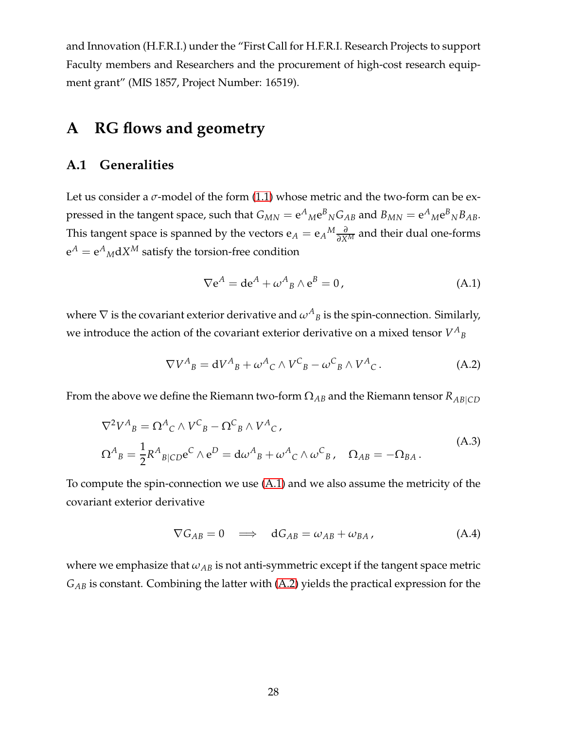and Innovation (H.F.R.I.) under the "First Call for H.F.R.I. Research Projects to support Faculty members and Researchers and the procurement of high-cost research equipment grant" (MIS 1857, Project Number: 16519).

## <span id="page-28-1"></span><span id="page-28-0"></span>**A RG flows and geometry**

### **A.1 Generalities**

Let us consider a  $\sigma$ -model of the form  $(1.1)$  whose metric and the two-form can be expressed in the tangent space, such that  $G_{MN} = e^A{}_M e^B{}_N G_{AB}$  and  $B_{MN} = e^A{}_M e^B{}_N B_{AB}$ . This tangent space is spanned by the vectors  $e_A = e_A{}^M \frac{\partial}{\partial X^M}$  and their dual one-forms  $e^A = e^A{}_M$ d $X^M$  satisfy the torsion-free condition

<span id="page-28-2"></span>
$$
\nabla e^A = de^A + \omega^A{}_B \wedge e^B = 0, \qquad (A.1)
$$

where  $\nabla$  is the covariant exterior derivative and  $\omega^{A}{}_{B}$  is the spin-connection. Similarly, we introduce the action of the covariant exterior derivative on a mixed tensor  $V^A{}_B$ 

<span id="page-28-3"></span>
$$
\nabla V^A{}_B = \mathrm{d}V^A{}_B + \omega^A{}_C \wedge V^C{}_B - \omega^C{}_B \wedge V^A{}_C \,. \tag{A.2}
$$

From the above we define the Riemann two-form  $\Omega_{AB}$  and the Riemann tensor  $R_{AB|CD}$ 

<span id="page-28-4"></span>
$$
\nabla^2 V^A{}_B = \Omega^A{}_C \wedge V^C{}_B - \Omega^C{}_B \wedge V^A{}_C,
$$
  
\n
$$
\Omega^A{}_B = \frac{1}{2} R^A{}_{B|CD} e^C \wedge e^D = d\omega^A{}_{B} + \omega^A{}_{C} \wedge \omega^C{}_{B}, \quad \Omega_{AB} = -\Omega_{BA}.
$$
\n(A.3)

To compute the spin-connection we use [\(A.1\)](#page-28-2) and we also assume the metricity of the covariant exterior derivative

<span id="page-28-5"></span>
$$
\nabla G_{AB} = 0 \quad \Longrightarrow \quad \mathbf{d} G_{AB} = \omega_{AB} + \omega_{BA} \,, \tag{A.4}
$$

where we emphasize that  $\omega_{AB}$  is not anti-symmetric except if the tangent space metric *GAB* is constant. Combining the latter with [\(A.2\)](#page-28-3) yields the practical expression for the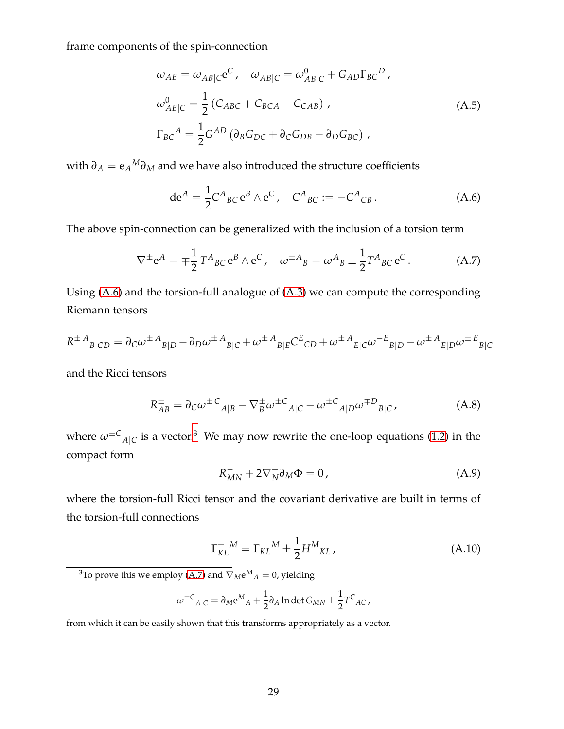<span id="page-29-4"></span>frame components of the spin-connection

$$
\omega_{AB} = \omega_{AB|C}e^{C}, \quad \omega_{AB|C} = \omega_{AB|C}^{0} + G_{AD}\Gamma_{BC}^{D},
$$
  
\n
$$
\omega_{AB|C}^{0} = \frac{1}{2}(C_{ABC} + C_{BCA} - C_{CAB}),
$$
  
\n
$$
\Gamma_{BC}^{A} = \frac{1}{2}G^{AD}(\partial_{B}G_{DC} + \partial_{C}G_{DB} - \partial_{D}G_{BC}),
$$
\n(A.5)

with *∂<sup>A</sup>* = e*<sup>A</sup> <sup>M</sup>∂<sup>M</sup>* and we have also introduced the structure coefficients

<span id="page-29-0"></span>
$$
de^{A} = \frac{1}{2} C^{A}{}_{BC} e^{B} \wedge e^{C}, \quad C^{A}{}_{BC} := -C^{A}{}_{CB}.
$$
 (A.6)

The above spin-connection can be generalized with the inclusion of a torsion term

<span id="page-29-2"></span>
$$
\nabla^{\pm} e^{A} = \mp \frac{1}{2} T^{A}{}_{BC} e^{B} \wedge e^{C}, \quad \omega^{\pm A}{}_{B} = \omega^{A}{}_{B} \pm \frac{1}{2} T^{A}{}_{BC} e^{C}. \tag{A.7}
$$

Using [\(A.6\)](#page-29-0) and the torsion-full analogue of [\(A.3\)](#page-28-4) we can compute the corresponding Riemann tensors

$$
R^{\pm A}{}_{B|CD} = \partial_C \omega^{\pm A}{}_{B|D} - \partial_D \omega^{\pm A}{}_{B|C} + \omega^{\pm A}{}_{B|E} C^{E}{}_{CD} + \omega^{\pm A}{}_{E|C} \omega^{-E}{}_{B|D} - \omega^{\pm A}{}_{E|D} \omega^{\pm E}{}_{B|C}
$$

and the Ricci tensors

<span id="page-29-5"></span>
$$
R_{AB}^{\pm} = \partial_C \omega^{\pm C}{}_{A|B} - \nabla_B^{\pm} \omega^{\pm C}{}_{A|C} - \omega^{\pm C}{}_{A|D} \omega^{\mp D}{}_{B|C}, \tag{A.8}
$$

where  $\omega^{\pm}{}^{C}{}_{A|C}$  is a vector.<sup>[3](#page-29-1)</sup> We may now rewrite the one-loop equations [\(1.2\)](#page-2-2) in the compact form

<span id="page-29-3"></span>
$$
R_{MN}^- + 2\nabla_N^+ \partial_M \Phi = 0, \qquad (A.9)
$$

where the torsion-full Ricci tensor and the covariant derivative are built in terms of the torsion-full connections

$$
\Gamma_{KL}^{\pm M} = \Gamma_{KL}{}^{M} \pm \frac{1}{2} H^{M}{}_{KL},\tag{A.10}
$$

<span id="page-29-1"></span><sup>3</sup>To prove this we employ [\(A.7\)](#page-29-2) and  $\nabla_M e^M{}_A = 0$ , yielding

$$
\omega^{\pm C}{}_{A|C} = \partial_M \mathrm{e}^M{}_A + \frac{1}{2} \partial_A \ln \det G_{MN} \pm \frac{1}{2} T^C{}_{AC} \,,
$$

from which it can be easily shown that this transforms appropriately as a vector.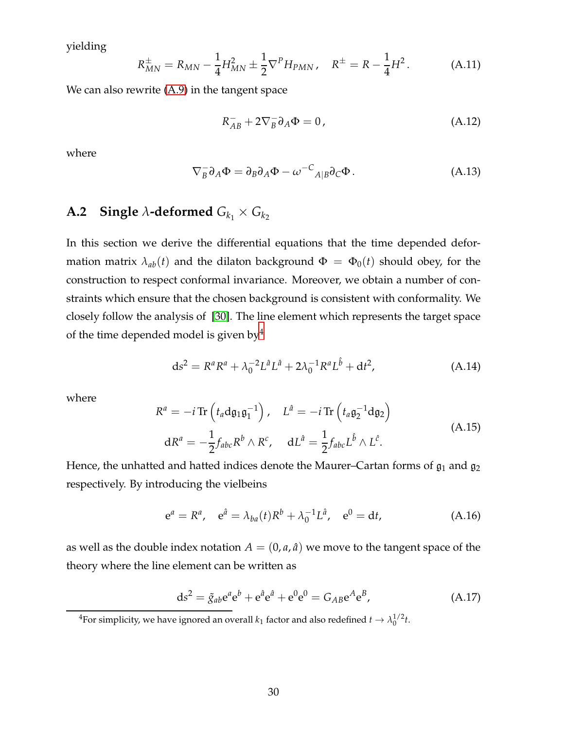yielding

<span id="page-30-3"></span>
$$
R_{MN}^{\pm} = R_{MN} - \frac{1}{4} H_{MN}^2 \pm \frac{1}{2} \nabla^P H_{PMN}, \quad R^{\pm} = R - \frac{1}{4} H^2. \tag{A.11}
$$

We can also rewrite [\(A.9\)](#page-29-3) in the tangent space

<span id="page-30-2"></span>
$$
R_{AB}^- + 2\nabla_B^- \partial_A \Phi = 0, \qquad (A.12)
$$

where

<span id="page-30-4"></span>
$$
\nabla_B^- \partial_A \Phi = \partial_B \partial_A \Phi - \omega^{-C}{}_{A|B} \partial_C \Phi.
$$
 (A.13)

## <span id="page-30-0"></span>**A.2** Single  $\lambda$ -deformed  $G_{k_1} \times G_{k_2}$

In this section we derive the differential equations that the time depended deformation matrix  $\lambda_{ab}(t)$  and the dilaton background  $\Phi = \Phi_0(t)$  should obey, for the construction to respect conformal invariance. Moreover, we obtain a number of constraints which ensure that the chosen background is consistent with conformality. We closely follow the analysis of [\[30\]](#page-36-10). The line element which represents the target space of the time depended model is given by  $4$ 

$$
ds^{2} = R^{a}R^{a} + \lambda_{0}^{-2}L^{\hat{a}}L^{\hat{a}} + 2\lambda_{0}^{-1}R^{a}L^{\hat{b}} + dt^{2}, \qquad (A.14)
$$

where

$$
R^{a} = -i \operatorname{Tr} \left( t_{a} \mathrm{d} \mathfrak{g}_{1} \mathfrak{g}_{1}^{-1} \right), \quad L^{\hat{a}} = -i \operatorname{Tr} \left( t_{a} \mathfrak{g}_{2}^{-1} \mathrm{d} \mathfrak{g}_{2} \right)
$$
  
\n
$$
\mathrm{d}R^{a} = -\frac{1}{2} f_{abc} R^{b} \wedge R^{c}, \quad \mathrm{d}L^{\hat{a}} = \frac{1}{2} f_{abc} L^{\hat{b}} \wedge L^{\hat{c}}.
$$
\n(A.15)

Hence, the unhatted and hatted indices denote the Maurer–Cartan forms of  $\mathfrak{g}_1$  and  $\mathfrak{g}_2$ respectively. By introducing the vielbeins

$$
e^a = R^a
$$
,  $e^{\hat{a}} = \lambda_{ba}(t)R^b + \lambda_0^{-1}L^{\hat{a}}$ ,  $e^0 = dt$ , (A.16)

as well as the double index notation  $A = (0, a, \hat{a})$  we move to the tangent space of the theory where the line element can be written as

$$
ds^{2} = \tilde{g}_{ab}e^{a}e^{b} + e^{\hat{a}}e^{\hat{a}} + e^{0}e^{0} = G_{AB}e^{A}e^{B}, \qquad (A.17)
$$

<span id="page-30-1"></span><sup>4</sup>For simplicity, we have ignored an overall  $k_1$  factor and also redefined  $t \to \lambda_0^{1/2} t$ .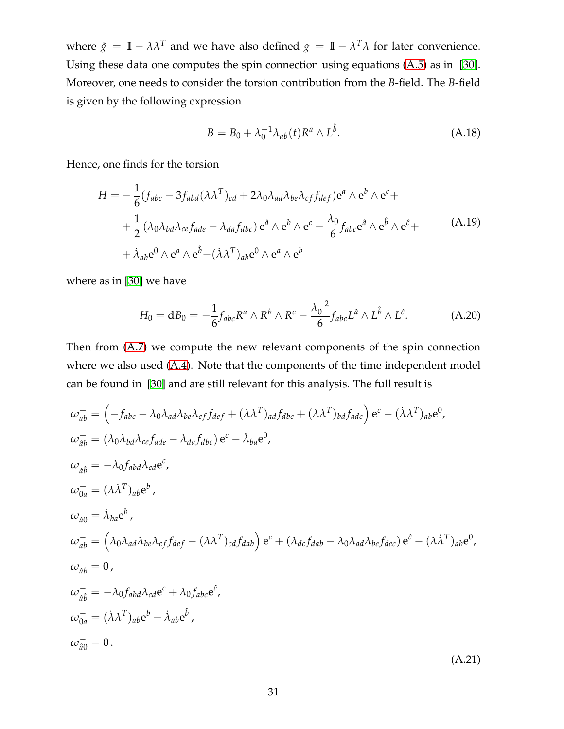where  $\tilde{g} = I\!I - \lambda \lambda^T$  and we have also defined  $g = I\!I - \lambda^T \lambda$  for later convenience. Using these data one computes the spin connection using equations [\(A.5\)](#page-29-4) as in [\[30\]](#page-36-10). Moreover, one needs to consider the torsion contribution from the *B*-field. The *B*-field is given by the following expression

<span id="page-31-1"></span>
$$
B = B_0 + \lambda_0^{-1} \lambda_{ab}(t) R^a \wedge L^{\hat{b}}.
$$
 (A.18)

Hence, one finds for the torsion

$$
H = -\frac{1}{6}(f_{abc} - 3f_{abd}(\lambda \lambda^{T})_{cd} + 2\lambda_{0}\lambda_{ad}\lambda_{be}\lambda_{cf}f_{def})e^{a} \wedge e^{b} \wedge e^{c} +
$$
  
+  $\frac{1}{2}(\lambda_{0}\lambda_{bd}\lambda_{ce}f_{ade} - \lambda_{da}f_{dbc})e^{a} \wedge e^{b} \wedge e^{c} - \frac{\lambda_{0}}{6}f_{abc}e^{a} \wedge e^{b} \wedge e^{c} +$   
+  $\lambda_{ab}e^{0} \wedge e^{a} \wedge e^{\hat{b}} - (\lambda \lambda^{T})_{ab}e^{0} \wedge e^{a} \wedge e^{b}$  (A.19)

where as in [\[30\]](#page-36-10) we have

$$
H_0 = dB_0 = -\frac{1}{6} f_{abc} R^a \wedge R^b \wedge R^c - \frac{\lambda_0^{-2}}{6} f_{abc} L^{\hat{a}} \wedge L^{\hat{b}} \wedge L^{\hat{c}}.
$$
 (A.20)

Then from [\(A.7\)](#page-29-2) we compute the new relevant components of the spin connection where we also used [\(A.4\)](#page-28-5). Note that the components of the time independent model can be found in [\[30\]](#page-36-10) and are still relevant for this analysis. The full result is

<span id="page-31-0"></span>
$$
\omega_{ab}^{+} = \left(-f_{abc} - \lambda_0 \lambda_{ad} \lambda_{be} \lambda_{cf} f_{def} + (\lambda \lambda^T)_{ad} f_{dbc} + (\lambda \lambda^T)_{bd} f_{adc}\right) e^c - (\lambda \lambda^T)_{ab} e^0,
$$
  
\n
$$
\omega_{ab}^{+} = (\lambda_0 \lambda_{bd} \lambda_{ce} f_{ade} - \lambda_{da} f_{dbc}) e^c - \lambda_{ba} e^0,
$$
  
\n
$$
\omega_{ab}^{+} = -\lambda_0 f_{abd} \lambda_{cd} e^c,
$$
  
\n
$$
\omega_{ba}^{+} = (\lambda \lambda^T)_{ab} e^b,
$$
  
\n
$$
\omega_{ab}^{-} = (\lambda_0 \lambda_{ad} \lambda_{be} \lambda_{cf} f_{def} - (\lambda \lambda^T)_{cd} f_{dab}) e^c + (\lambda_{dc} f_{dab} - \lambda_0 \lambda_{ad} \lambda_{be} f_{dec}) e^c - (\lambda \lambda^T)_{ab} e^0,
$$
  
\n
$$
\omega_{ab}^{-} = 0,
$$
  
\n
$$
\omega_{ab}^{-} = -\lambda_0 f_{abd} \lambda_{cd} e^c + \lambda_0 f_{abc} e^c,
$$
  
\n
$$
\omega_{ba}^{-} = (\lambda \lambda^T)_{ab} e^b - \lambda_{ab} e^b,
$$
  
\n
$$
\omega_{ab}^{-} = 0.
$$
  
\n
$$
(\text{A.21})
$$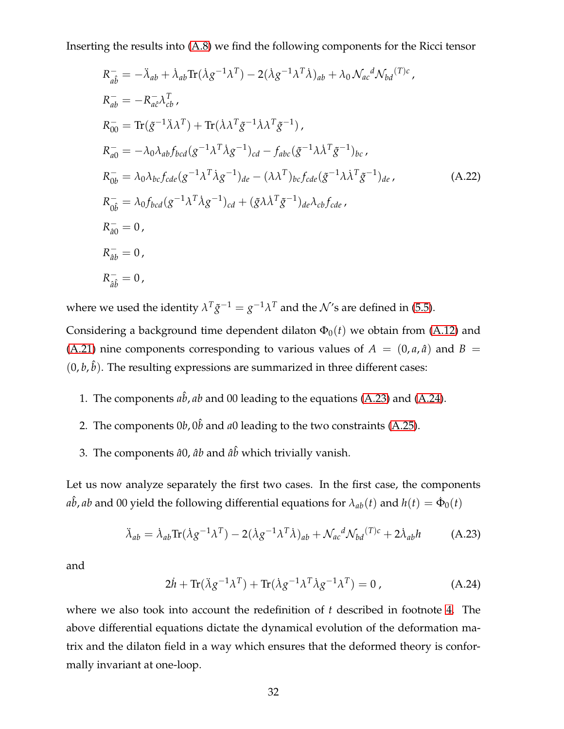Inserting the results into [\(A.8\)](#page-29-5) we find the following components for the Ricci tensor

$$
R_{a\hat{b}}^{-} = -\ddot{\lambda}_{ab} + \dot{\lambda}_{ab} \text{Tr} (\dot{\lambda} g^{-1} \lambda^{T}) - 2(\dot{\lambda} g^{-1} \lambda^{T} \dot{\lambda})_{ab} + \lambda_{0} \mathcal{N}_{ac}{}^{d} \mathcal{N}_{bd}^{(T)c},
$$
  
\n
$$
R_{ab}^{-} = -R_{a\hat{c}}^{-} \lambda_{cb}^{T},
$$
  
\n
$$
R_{00}^{-} = \text{Tr} (\tilde{g}^{-1} \ddot{\lambda} \lambda^{T}) + \text{Tr} (\dot{\lambda} \lambda^{T} \tilde{g}^{-1} \dot{\lambda} \lambda^{T} \tilde{g}^{-1}),
$$
  
\n
$$
R_{a0}^{-} = -\lambda_{0} \lambda_{ab} f_{bcd} (g^{-1} \lambda^{T} \dot{\lambda} g^{-1})_{cd} - f_{abc} (\tilde{g}^{-1} \lambda \dot{\lambda}^{T} \tilde{g}^{-1})_{bc},
$$
  
\n
$$
R_{0b}^{-} = \lambda_{0} \lambda_{bc} f_{cde} (g^{-1} \lambda^{T} \dot{\lambda} g^{-1})_{de} - (\lambda \lambda^{T})_{bc} f_{cde} (\tilde{g}^{-1} \lambda \dot{\lambda}^{T} \tilde{g}^{-1})_{de},
$$
  
\n
$$
R_{0\hat{b}}^{-} = \lambda_{0} f_{bcd} (g^{-1} \lambda^{T} \dot{\lambda} g^{-1})_{cd} + (\tilde{g} \lambda \dot{\lambda}^{T} \tilde{g}^{-1})_{de} \lambda_{cb} f_{cde},
$$
  
\n
$$
R_{a0}^{-} = 0,
$$
  
\n
$$
R_{ab}^{-} = 0,
$$
  
\n
$$
R_{ab}^{-} = 0,
$$

where we used the identity  $\lambda^T \tilde{g}^{-1} = g^{-1} \lambda^T$  and the  $\mathcal{N}'$ s are defined in [\(5.5\)](#page-16-3). Considering a background time dependent dilaton  $\Phi_0(t)$  we obtain from [\(A.12\)](#page-30-2) and [\(A.21\)](#page-31-0) nine components corresponding to various values of  $A = (0, a, \hat{a})$  and  $B =$  $(0, b, \hat{b})$ . The resulting expressions are summarized in three different cases:

- 1. The components  $a\hat{b}$ ,  $ab$  and 00 leading to the equations [\(A.23\)](#page-32-0) and [\(A.24\)](#page-32-1).
- 2. The components  $0b$ ,  $0\hat{b}$  and  $a0$  leading to the two constraints [\(A.25\)](#page-33-0).
- 3. The components  $\hat{a}0$ ,  $\hat{a}b$  and  $\hat{a}\hat{b}$  which trivially vanish.

Let us now analyze separately the first two cases. In the first case, the components  $a\hat{b}$ , *ab* and 00 yield the following differential equations for  $\lambda_{ab}(t)$  and  $h(t) = \dot{\Phi}_0(t)$ 

<span id="page-32-0"></span>
$$
\ddot{\lambda}_{ab} = \dot{\lambda}_{ab} \text{Tr}(\dot{\lambda} g^{-1} \lambda^T) - 2(\dot{\lambda} g^{-1} \lambda^T \dot{\lambda})_{ab} + \mathcal{N}_{ac}{}^d \mathcal{N}_{bd}{}^{(T)c} + 2\dot{\lambda}_{ab} h \tag{A.23}
$$

and

<span id="page-32-1"></span>
$$
2\dot{h} + \text{Tr}(\lambda g^{-1}\lambda^T) + \text{Tr}(\lambda g^{-1}\lambda^T\lambda g^{-1}\lambda^T) = 0,
$$
 (A.24)

where we also took into account the redefinition of *t* described in footnote [4.](#page-30-1) The above differential equations dictate the dynamical evolution of the deformation matrix and the dilaton field in a way which ensures that the deformed theory is conformally invariant at one-loop.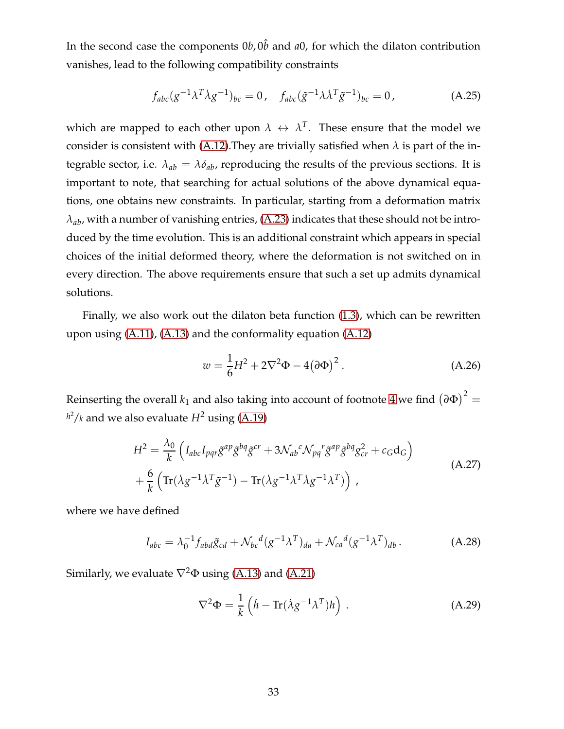In the second case the components  $0b$ ,  $0\hat{b}$  and  $a0$ , for which the dilaton contribution vanishes, lead to the following compatibility constraints

<span id="page-33-0"></span>
$$
f_{abc}(g^{-1}\lambda^T \dot{\lambda} g^{-1})_{bc} = 0, \quad f_{abc}(\tilde{g}^{-1}\lambda \dot{\lambda}^T \tilde{g}^{-1})_{bc} = 0, \tag{A.25}
$$

which are mapped to each other upon  $\lambda \leftrightarrow \lambda^T$ . These ensure that the model we consider is consistent with [\(A.12\)](#page-30-2). They are trivially satisfied when  $\lambda$  is part of the integrable sector, i.e.  $\lambda_{ab} = \lambda \delta_{ab}$ , reproducing the results of the previous sections. It is important to note, that searching for actual solutions of the above dynamical equations, one obtains new constraints. In particular, starting from a deformation matrix *λab*, with a number of vanishing entries, [\(A.23\)](#page-32-0) indicates that these should not be introduced by the time evolution. This is an additional constraint which appears in special choices of the initial deformed theory, where the deformation is not switched on in every direction. The above requirements ensure that such a set up admits dynamical solutions.

Finally, we also work out the dilaton beta function [\(1.3\)](#page-2-3), which can be rewritten upon using [\(A.11\)](#page-30-3), [\(A.13\)](#page-30-4) and the conformality equation [\(A.12\)](#page-30-2)

<span id="page-33-2"></span>
$$
w = \frac{1}{6}H^2 + 2\nabla^2\Phi - 4(\partial\Phi)^2.
$$
 (A.26)

Reinserting the overall  $k_1$  and also taking into account of footnote  $4$  we find  $\left(\partial \Phi\right)^2=$  $h^2/k$  and we also evaluate  $H^2$  using [\(A.19\)](#page-31-1)

$$
H^{2} = \frac{\lambda_{0}}{k} \left( I_{abc} I_{pqr} \tilde{g}^{ap} \tilde{g}^{bq} \tilde{g}^{cr} + 3 \mathcal{N}_{ab}{}^{c} \mathcal{N}_{pq}{}^{r} \tilde{g}^{ap} \tilde{g}^{bq} g_{cr}^{2} + c_{G} d_{G} \right)
$$
  
+  $\frac{6}{k} \left( \text{Tr} (\lambda g^{-1} \lambda^{T} \tilde{g}^{-1}) - \text{Tr} (\lambda g^{-1} \lambda^{T} \lambda g^{-1} \lambda^{T}) \right)$ , (A.27)

where we have defined

<span id="page-33-1"></span>
$$
I_{abc} = \lambda_0^{-1} f_{abd} \tilde{g}_{cd} + \mathcal{N}_{bc}{}^d (g^{-1} \lambda^T)_{da} + \mathcal{N}_{ca}{}^d (g^{-1} \lambda^T)_{db}.
$$
 (A.28)

Similarly, we evaluate  $\nabla^2 \Phi$  using [\(A.13\)](#page-30-4) and [\(A.21\)](#page-31-0)

$$
\nabla^2 \Phi = \frac{1}{k} \left( \dot{h} - \text{Tr} (\dot{\lambda} g^{-1} \lambda^T) h \right) . \tag{A.29}
$$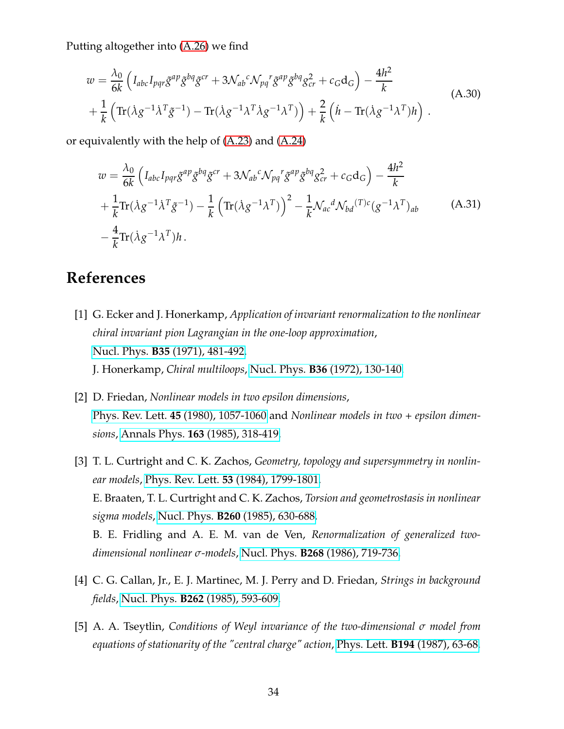Putting altogether into [\(A.26\)](#page-33-2) we find

$$
w = \frac{\lambda_0}{6k} \left( I_{abc} I_{pqr} \tilde{g}^{ap} \tilde{g}^{bq} \tilde{g}^{cr} + 3 \mathcal{N}_{ab}^c \mathcal{N}_{pq}^r \tilde{g}^{ap} \tilde{g}^{bq} g_{cr}^2 + c_G \mathbf{d}_G \right) - \frac{4h^2}{k} + \frac{1}{k} \left( \text{Tr} (\lambda g^{-1} \lambda^T \tilde{g}^{-1}) - \text{Tr} (\lambda g^{-1} \lambda^T \lambda g^{-1} \lambda^T) \right) + \frac{2}{k} \left( \dot{h} - \text{Tr} (\lambda g^{-1} \lambda^T) h \right) .
$$
 (A.30)

or equivalently with the help of [\(A.23\)](#page-32-0) and [\(A.24\)](#page-32-1)

<span id="page-34-3"></span>
$$
w = \frac{\lambda_0}{6k} \left( I_{abc} I_{pqr} \tilde{g}^{ap} \tilde{g}^{bq} \tilde{g}^{cr} + 3 \mathcal{N}_{ab}^c \mathcal{N}_{pq}^r \tilde{g}^{ap} \tilde{g}^{bq} g_{cr}^2 + c_G d_G \right) - \frac{4h^2}{k} + \frac{1}{k} \text{Tr} (\lambda g^{-1} \lambda^T \tilde{g}^{-1}) - \frac{1}{k} \left( \text{Tr} (\lambda g^{-1} \lambda^T) \right)^2 - \frac{1}{k} \mathcal{N}_{ac}^d \mathcal{N}_{bd}^{(T)c} (g^{-1} \lambda^T)_{ab} \tag{A.31} - \frac{4}{k} \text{Tr} (\lambda g^{-1} \lambda^T) h.
$$

## <span id="page-34-0"></span>**References**

- [1] G. Ecker and J. Honerkamp, *Application of invariant renormalization to the nonlinear chiral invariant pion Lagrangian in the one-loop approximation*, Nucl. Phys. **B35** [\(1971\), 481-492.](http://www.sciencedirect.com/science/article/pii/0550321371904688) J. Honerkamp, *Chiral multiloops*, Nucl. Phys. **B36** [\(1972\), 130-140.](http://www.sciencedirect.com/science/article/pii/0550321372902994)
- [2] D. Friedan, *Nonlinear models in two epsilon dimensions*, Phys. Rev. Lett. **45** [\(1980\), 1057-1060](http://journals.aps.org/prl/abstract/10.1103/PhysRevLett.45.1057) and *Nonlinear models in two + epsilon dimensions*, Annals Phys. **163** [\(1985\), 318-419.](http://www.sciencedirect.com/science/article/pii/0003491685903847)
- [3] T. L. Curtright and C. K. Zachos, *Geometry, topology and supersymmetry in nonlinear models*, Phys. Rev. Lett. **53** [\(1984\), 1799-1801.](http://journals.aps.org/prl/abstract/10.1103/PhysRevLett.53.1799) E. Braaten, T. L. Curtright and C. K. Zachos, *Torsion and geometrostasis in nonlinear sigma models*, Nucl. Phys. **B260** [\(1985\), 630-688.](http://www.sciencedirect.com/science/article/pii/0550321385900537) B. E. Fridling and A. E. M. van de Ven, *Renormalization of generalized twodimensional nonlinear σ-models*, Nucl. Phys. **B268** [\(1986\), 719-736.](http://www.sciencedirect.com/science/article/pii/0550321386902671)
- <span id="page-34-2"></span><span id="page-34-1"></span>[4] C. G. Callan, Jr., E. J. Martinec, M. J. Perry and D. Friedan, *Strings in background fields*, Nucl. Phys. **B262** [\(1985\), 593-609.](https://www.sciencedirect.com/science/article/pii/0550321385905061?via%3Dihub)
- [5] A. A. Tseytlin, *Conditions of Weyl invariance of the two-dimensional σ model from equations of stationarity of the "central charge" action*, Phys. Lett. **B194** [\(1987\), 63-68.](https://www.sciencedirect.com/science/article/pii/0370269387907702?via%3Dihub)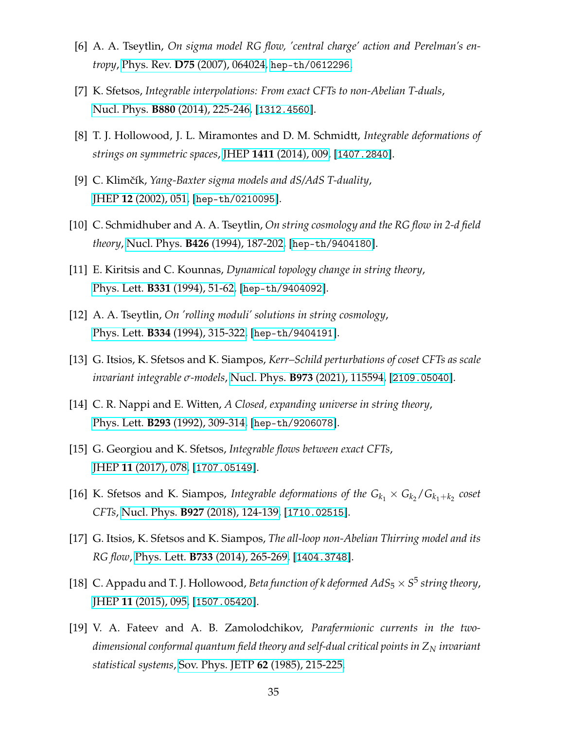- <span id="page-35-1"></span><span id="page-35-0"></span>[6] A. A. Tseytlin, *On sigma model RG flow, 'central charge' action and Perelman's entropy*, Phys. Rev. **D75** [\(2007\), 064024,](https://journals.aps.org/prd/abstract/10.1103/PhysRevD.75.064024) [hep-th/0612296](http://arxiv.org/abs/hep-th/0612296).
- <span id="page-35-2"></span>[7] K. Sfetsos, *Integrable interpolations: From exact CFTs to non-Abelian T-duals*, Nucl. Phys. **B880** [\(2014\), 225-246,](https://www.sciencedirect.com/science/article/pii/S0550321314000066?via%3Dihub) [[1312.4560](http://arxiv.org/abs/1312.4560)].
- <span id="page-35-3"></span>[8] T. J. Hollowood, J. L. Miramontes and D. M. Schmidtt, *Integrable deformations of strings on symmetric spaces*, JHEP **1411** [\(2014\), 009,](https://link.springer.com/article/10.1007%2FJHEP11%282014%29009) [[1407.2840](http://arxiv.org/abs/1407.2840)].
- <span id="page-35-4"></span>[9] C. Klimˇcík, *Yang-Baxter sigma models and dS/AdS T-duality*, JHEP **12** [\(2002\), 051,](https://iopscience.iop.org/article/10.1088/1126-6708/2002/12/051) [[hep-th/0210095](http://arxiv.org/abs/hep-th/0210095)].
- <span id="page-35-13"></span>[10] C. Schmidhuber and A. A. Tseytlin, *On string cosmology and the RG flow in 2-d field theory*, Nucl. Phys. **B426** [\(1994\), 187-202,](https://www.sciencedirect.com/science/article/pii/0550321394901317?via%3Dihub) [[hep-th/9404180](http://arxiv.org/abs/hep-th/9404180)].
- <span id="page-35-5"></span>[11] E. Kiritsis and C. Kounnas, *Dynamical topology change in string theory*, Phys. Lett. **B331** [\(1994\), 51-62,](https://www.sciencedirect.com/science/article/pii/0370269394909423?via%3Dihub) [[hep-th/9404092](http://arxiv.org/abs/hep-th/9404092)].
- <span id="page-35-6"></span>[12] A. A. Tseytlin, *On 'rolling moduli' solutions in string cosmology*, Phys. Lett. **B334** [\(1994\), 315-322,](https://www.sciencedirect.com/science/article/abs/pii/0370269394906955?via%3Dihub) [[hep-th/9404191](http://arxiv.org/abs/hep-th/9404191)].
- <span id="page-35-7"></span>[13] G. Itsios, K. Sfetsos and K. Siampos, *Kerr–Schild perturbations of coset CFTs as scale invariant integrable σ-models*, Nucl. Phys. **B973** [\(2021\), 115594,](https://www.sciencedirect.com/science/article/pii/S0550321321002911?via%3Dihub) [[2109.05040](https://arxiv.org/abs/2109.05040)].
- <span id="page-35-8"></span>[14] C. R. Nappi and E. Witten, *A Closed, expanding universe in string theory*, Phys. Lett. **B293** [\(1992\), 309-314,](https://www.sciencedirect.com/science/article/pii/037026939290888B?via%3Dihub) [[hep-th/9206078](http://arxiv.org/abs/hep-th/9206078)].
- <span id="page-35-9"></span>[15] G. Georgiou and K. Sfetsos, *Integrable flows between exact CFTs*, JHEP **11** [\(2017\), 078,](https://link.springer.com/article/10.1007%2FJHEP11%282017%29078) [[1707.05149](https://arxiv.org/abs/1707.05149)].
- <span id="page-35-10"></span>[16] K. Sfetsos and K. Siampos, *Integrable deformations of the*  $G_{k_1} \times G_{k_2} / G_{k_1 + k_2}$  coset *CFTs*, Nucl. Phys. **B927** [\(2018\), 124-139,](https://www.sciencedirect.com/science/article/pii/S0550321317303966?via%3Dihub) [[1710.02515](https://arxiv.org/abs/1710.02515)].
- <span id="page-35-11"></span>[17] G. Itsios, K. Sfetsos and K. Siampos, *The all-loop non-Abelian Thirring model and its RG flow*, Phys. Lett. **B733** [\(2014\), 265-269,](https://www.sciencedirect.com/science/article/pii/S0370269314003037?via%3Dihub) [[1404.3748](https://arxiv.org/abs/1404.3748)].
- <span id="page-35-12"></span>[18] C. Appadu and T. J. Hollowood, *Beta function of k deformed*  $AdS_5 \times S^5$  *string theory*, JHEP **11** [\(2015\), 095,](https://link.springer.com/article/10.1007%2FJHEP11%282015%29095) [[1507.05420](https://arxiv.org/abs/1507.05420)].
- [19] V. A. Fateev and A. B. Zamolodchikov, *Parafermionic currents in the twodimensional conformal quantum field theory and self-dual critical points in Z<sup>N</sup> invariant statistical systems*, [Sov. Phys. JETP](http://www.jetp.ras.ru/cgi-bin/e/index/e/62/2/p215?a=list) **62** (1985), 215-225.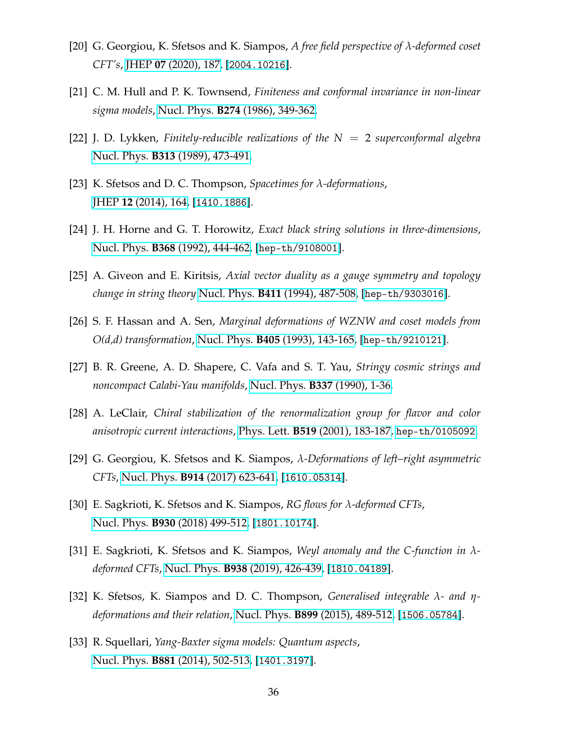- <span id="page-36-1"></span><span id="page-36-0"></span>[20] G. Georgiou, K. Sfetsos and K. Siampos, *A free field perspective of λ-deformed coset CFT's*, JHEP **07** [\(2020\), 187,](https://link.springer.com/article/10.1007/JHEP07(2020)187) [[2004.10216](https://arxiv.org/abs/2004.10216)].
- <span id="page-36-2"></span>[21] C. M. Hull and P. K. Townsend, *Finiteness and conformal invariance in non-linear sigma models*, Nucl. Phys. **B274** [\(1986\), 349-362.](https://www.sciencedirect.com/science/article/pii/0550321386902890?via%3Dihub)
- <span id="page-36-3"></span>[22] J. D. Lykken, *Finitely-reducible realizations of the N* = 2 *superconformal algebra* Nucl. Phys. **B313** [\(1989\), 473-491.](https://www.sciencedirect.com/science/article/pii/0550321389903295?via%3Dihub)
- <span id="page-36-4"></span>[23] K. Sfetsos and D. C. Thompson, *Spacetimes for λ-deformations*, JHEP **12** [\(2014\), 164,](https://link.springer.com/article/10.1007/JHEP12(2014)164) [[1410.1886](https://arxiv.org/abs/1410.1886)].
- <span id="page-36-5"></span>[24] J. H. Horne and G. T. Horowitz, *Exact black string solutions in three-dimensions*, Nucl. Phys. **B368** [\(1992\), 444-462,](https://www.sciencedirect.com/science/article/abs/pii/055032139290536K?via%3Dihub) [[hep-th/9108001](http://arxiv.org/abs/hep-th/9108001)].
- <span id="page-36-6"></span>[25] A. Giveon and E. Kiritsis, *Axial vector duality as a gauge symmetry and topology change in string theory* Nucl. Phys. **B411** [\(1994\), 487-508,](https://www.sciencedirect.com/science/article/abs/pii/055032139490460X?via%3Dihub) [[hep-th/9303016](http://arxiv.org/abs/hep-th/9303016)].
- <span id="page-36-7"></span>[26] S. F. Hassan and A. Sen, *Marginal deformations of WZNW and coset models from O(d,d) transformation*, Nucl. Phys. **B405** [\(1993\), 143-165,](https://www.sciencedirect.com/science/article/abs/pii/055032139390429S?via%3Dihub) [[hep-th/9210121](http://arxiv.org/abs/hep-th/9210121)].
- <span id="page-36-8"></span>[27] B. R. Greene, A. D. Shapere, C. Vafa and S. T. Yau, *Stringy cosmic strings and noncompact Calabi-Yau manifolds*, [Nucl. Phys.](https://www.sciencedirect.com/science/article/pii/055032139090248C?via%3Dihub) **B337** (1990), 1-36.
- <span id="page-36-9"></span>[28] A. LeClair, *Chiral stabilization of the renormalization group for flavor and color anisotropic current interactions*, Phys. Lett. **B519** [\(2001\), 183-187,](https://www.sciencedirect.com/science/article/pii/S0370269301010899?via%3Dihub) [hep-th/0105092](http://arxiv.org/abs/hep-th/0105092).
- <span id="page-36-10"></span>[29] G. Georgiou, K. Sfetsos and K. Siampos, *λ-Deformations of left–right asymmetric CFTs*, Nucl. Phys. **B914** [\(2017\) 623-641,](https://www.sciencedirect.com/science/article/pii/S0550321316303832?via%3Dihub) [[1610.05314](https://arxiv.org/abs/1610.05314)].
- <span id="page-36-11"></span>[30] E. Sagkrioti, K. Sfetsos and K. Siampos, *RG flows for λ-deformed CFTs*, Nucl. Phys. **B930** [\(2018\) 499-512,](https://www.sciencedirect.com/science/article/pii/S0550321318300889?via%3Dihub) [[1801.10174](https://arxiv.org/abs/1801.10174)].
- <span id="page-36-12"></span>[31] E. Sagkrioti, K. Sfetsos and K. Siampos, *Weyl anomaly and the C-function in λdeformed CFTs*, Nucl. Phys. **B938** [\(2019\), 426-439,](https://www.sciencedirect.com/science/article/pii/S0550321318303407?via%3Dihub) [[1810.04189](https://arxiv.org/abs/1810.04189)].
- <span id="page-36-13"></span>[32] K. Sfetsos, K. Siampos and D. C. Thompson, *Generalised integrable λ- and ηdeformations and their relation*, Nucl. Phys. **B899** [\(2015\), 489-512,](https://linkinghub.elsevier.com/retrieve/pii/S0550321315003004) [[1506.05784](http://arxiv.org/abs/1506.05784)].
- [33] R. Squellari, *Yang-Baxter sigma models: Quantum aspects*, Nucl. Phys. **B881** [\(2014\), 502-513,](https://www.sciencedirect.com/science/article/pii/S0550321314000455?via%3Dihub) [[1401.3197](https://arxiv.org/abs/1401.3197)].